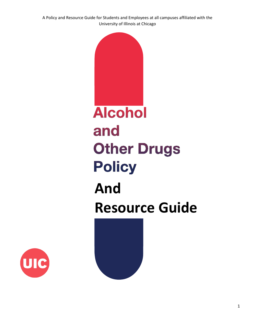A Policy and Resource Guide for Students and Employees at all campuses affiliated with the University of Illinois at Chicago



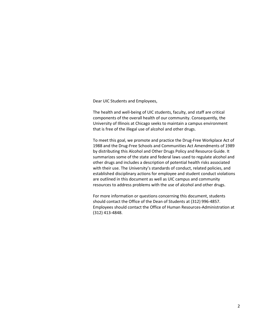Dear UIC Students and Employees,

The health and well-being of UIC students, faculty, and staff are critical components of the overall health of our community. Consequently, the University of Illinois at Chicago seeks to maintain a campus environment that is free of the illegal use of alcohol and other drugs.

To meet this goal, we promote and practice the Drug-Free Workplace Act of 1988 and the Drug-Free Schools and Communities Act Amendments of 1989 by distributing this Alcohol and Other Drugs Policy and Resource Guide. It summarizes some of the state and federal laws used to regulate alcohol and other drugs and includes a description of potential health risks associated with their use. The University's standards of conduct, related policies, and established disciplinary actions for employee and student conduct violations are outlined in this document as well as UIC campus and community resources to address problems with the use of alcohol and other drugs.

For more information or questions concerning this document, students should contact the Office of the Dean of Students at (312) 996-4857. Employees should contact the Office of Human Resources-Administration at (312) 413-4848.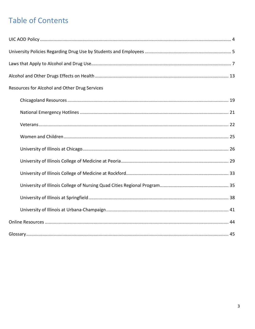# **Table of Contents**

| Resources for Alcohol and Other Drug Services |  |
|-----------------------------------------------|--|
|                                               |  |
|                                               |  |
|                                               |  |
|                                               |  |
|                                               |  |
|                                               |  |
|                                               |  |
|                                               |  |
|                                               |  |
|                                               |  |
|                                               |  |
|                                               |  |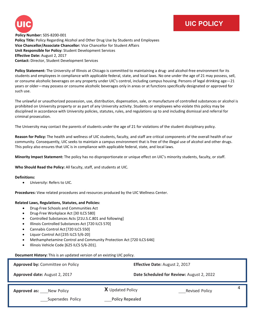

## **UIC POLICY**

 **Policy Number:** SDS-8200-001 **Policy Title:** Policy Regarding Alcohol and Other Drug Use by Students and Employees **Vice Chancellor/Associate Chancellor:** Vice Chancellor for Student Affairs **Unit Responsible for Policy:** Student Development Services **Effective Date:** August 2, 2017 **Contact:** Director, Student Development Services

**Policy Statement:** The University of Illinois at Chicago is committed to maintaining a drug- and alcohol-free environment for its students and employees in compliance with applicable federal, state, and local laws. No one under the age of 21 may possess, sell, or consume alcoholic beverages on any property under UIC's control, including campus housing. Persons of legal drinking age—21 years or older—may possess or consume alcoholic beverages only in areas or at functions specifically designated or approved for such use.

The unlawful or unauthorized possession, use, distribution, dispensation, sale, or manufacture of controlled substances or alcohol is prohibited on University property or as part of any University activity. Students or employees who violate this policy may be disciplined in accordance with University policies, statutes, rules, and regulations up to and including dismissal and referral for criminal prosecution.

The University may contact the parents of students under the age of 21 for violations of the student disciplinary policy.

**Reason for Policy:** The health and wellness of UIC students, faculty, and staff are critical components of the overall health of our community. Consequently, UIC seeks to maintain a campus environment that is free of the illegal use of alcohol and other drugs. This policy also ensures that UIC is in compliance with applicable federal, state, and local laws.

**Minority Impact Statement:** The policy has no disproportionate or unique effect on UIC's minority students, faculty, or staff.

**Who Should Read the Policy:** All faculty, staff, and students at UIC.

#### **Definitions:**

• *University*: Refers to UIC.

**Procedures:** View related procedures and resources produced by the UIC Wellness Center.

#### **Related Laws, Regulations, Statutes, and Policies:**

- Drug-Free Schools and Communities Act
- Drug-Free Workplace Act [30 ILCS 580]
- Controlled Substances Acts [21U.S.C.801 and following]
- Illinois Controlled Substances Act [720 ILCS 570]
- Cannabis Control Act [720 ILCS 550]
- Liquor Control Act[235 ILCS 5/6-20]
- Methamphetamine Control and Community Protection Act [720 ILCS 646]
- Illinois Vehicle Code [625 ILCS 5/6-201].

#### **Document History:** This is an updated version of an existing UIC policy.

| Approved by: Committee on Policy                | Effective Date: August 2, 2017             |                            |  |
|-------------------------------------------------|--------------------------------------------|----------------------------|--|
| Approved date: August 2, 2017                   | Date Scheduled for Review: August 2, 2022  |                            |  |
| Approved as:<br>New Policy<br>Supersedes Policy | <b>X</b> Updated Policy<br>Policy Repealed | 4<br><b>Revised Policy</b> |  |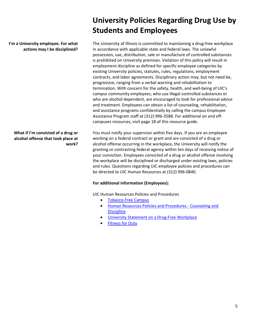**I'm a University employee. For what actions may I be disciplined?**

### **What if I'm convicted of a drug or alcohol offense that took place at work?**

# **University Policies Regarding Drug Use by Students and Employees**

The University of Illinois is committed to maintaining a drug-free workplace in accordance with applicable state and federal laws. The unlawful possession, use, distribution, sale or manufacture of controlled substances is prohibited on University premises. Violation of this policy will result in employment discipline as defined for specific employee categories by existing University policies, statutes, rules, regulations, employment contracts, and labor agreements. Disciplinary action may, but not need be, progressive, ranging from a verbal warning and rehabilitation to termination. With concern for the safety, health, and well-being of UIC's campus community employees, who use illegal controlled substances or who are alcohol dependent, are encouraged to look for professional advice and treatment. Employees can obtain a list of counseling, rehabilitation, and assistance programs confidentially by calling the campus Employee Assistance Program staff at (312) 996-3588. For additional on and offcampuses resources, visit page 18 of this resource guide.

You must notify your supervisor within five days. If you are an employee working on a federal contract or grant and are convicted of a drug or alcohol offense occurring in the workplace, the University will notify the granting or contracting federal agency within ten days of receiving notice of your conviction. Employees convicted of a drug or alcohol offense involving the workplace will be disciplined or discharged under existing laws, policies and rules. Questions regarding UIC employee policies and procedures can be directed to UIC Human Resources at (312) 996-0840.

### **For additional information (Employees):**

UIC Human Resources Policies and Procedures

- [Tobacco-Free Campus](https://uofi.app.box.com/s/vicnbkjdzh4mmwwhuizpivzwc3v4cku7)
- [Human Resources Policies and Procedures -](https://hr.uic.edu/hr-staff-managers/resources/policies-2/) Counseling and **[Discipline](https://hr.uic.edu/hr-staff-managers/resources/policies-2/)**
- [University Statement on a Drug-Free Workplace](https://uofi.app.box.com/s/vraroy6c1jk2h4ojk1218lcnu5xhf2sz)
- [Fitness for Duty](https://policies.uic.edu/uic-policy-library/human-%20resources/fitness-for-duty/)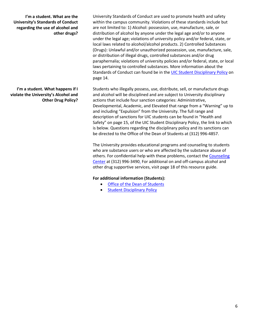**I'm a student. What are the University's Standards of Conduct regarding the use of alcohol and other drugs?**

**I'm a student. What happens if I violate the University's Alcohol and Other Drug Policy?** University Standards of Conduct are used to promote health and safety within the campus community. Violations of these standards include but are not limited to: 1) Alcohol: possession, use, manufacture, sale, or distribution of alcohol by anyone under the legal age and/or to anyone under the legal age; violations of university policy and/or federal, state, or local laws related to alcohol/alcohol products. 2) Controlled Substances (Drugs): Unlawful and/or unauthorized possession, use, manufacture, sale, or distribution of illegal drugs, controlled substances and/or drug paraphernalia; violations of university policies and/or federal, state, or local laws pertaining to controlled substances. More information about the Standards of Conduct can found be in the [UIC Student Disciplinary Policy](https://dos.uic.edu/wp-content/uploads/sites/262/2020/01/DOS_Student-Disciplinary-Policy-2020.pdf) on page 14.

Students who illegally possess, use, distribute, sell, or manufacture drugs and alcohol will be disciplined and are subject to University disciplinary actions that include four sanction categories: Administrative, Developmental, Academic, and Elevated that range from a "Warning" up to and including "Expulsion" from the University. The full range and description of sanctions for UIC students can be found in "Health and Safety" on page 15, of the UIC Student Disciplinary Policy, the link to which is below. Questions regarding the disciplinary policy and its sanctions can be directed to the Office of the Dean of Students at (312) 996-4857.

The University provides educational programs and counseling to students who are substance users or who are affected by the substance abuse of others. For confidential help with these problems, contact th[e Counseling](http://www.uic.edu/depts/counseling)  [Center](http://www.uic.edu/depts/counseling) at (312) 996-349[0.](http://www.uic.edu/depts/counseling) For additional on and off-campus alcohol and other drug supportive services, visit page 18 of this resource guide.

### **For additional information (Students):**

- [Office of the Dean of Students](https://dos.uic.edu/)
- [Student Disciplinary Policy](https://dos.uic.edu/wp-content/uploads/sites/262/2020/01/DOS_Student-Disciplinary-Policy-2020.pdf)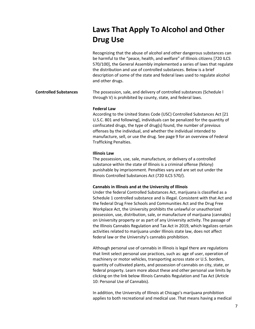# **Laws That Apply To Alcohol and Other Drug Use**

|                              | Recognizing that the abuse of alcohol and other dangerous substances can<br>be harmful to the "peace, health, and welfare" of Illinois citizens [720 ILCS<br>570/100], the General Assembly implemented a series of laws that regulate<br>the distribution and use of controlled substances. Below is a brief<br>description of some of the state and federal laws used to regulate alcohol<br>and other drugs.                                                                                                                                                                                                                                                                                                                                          |
|------------------------------|----------------------------------------------------------------------------------------------------------------------------------------------------------------------------------------------------------------------------------------------------------------------------------------------------------------------------------------------------------------------------------------------------------------------------------------------------------------------------------------------------------------------------------------------------------------------------------------------------------------------------------------------------------------------------------------------------------------------------------------------------------|
| <b>Controlled Substances</b> | The possession, sale, and delivery of controlled substances (Schedule I<br>through V) is prohibited by county, state, and federal laws.                                                                                                                                                                                                                                                                                                                                                                                                                                                                                                                                                                                                                  |
|                              | <b>Federal Law</b><br>According to the United States Code (USC) Controlled Substances Act [21<br>U.S.C. 801 and following], individuals can be penalized for the quantity of<br>confiscated drugs, the type of drug(s) found, the number of previous<br>offenses by the individual, and whether the individual intended to<br>manufacture, sell, or use the drug. See page 9 for an overview of Federal<br><b>Trafficking Penalties.</b>                                                                                                                                                                                                                                                                                                                 |
|                              | <b>Illinois Law</b><br>The possession, use, sale, manufacture, or delivery of a controlled<br>substance within the state of Illinois is a criminal offense (felony)<br>punishable by imprisonment. Penalties vary and are set out under the<br>Illinois Controlled Substances Act (720 ILCS 570/).                                                                                                                                                                                                                                                                                                                                                                                                                                                       |
|                              | Cannabis in Illinois and at the University of Illinois<br>Under the federal Controlled Substances Act, marijuana is classified as a<br>Schedule 1 controlled substance and is illegal. Consistent with that Act and<br>the federal Drug Free Schools and Communities Act and the Drug Free<br>Workplace Act, the University prohibits the unlawful or unauthorized<br>possession, use, distribution, sale, or manufacture of marijuana (cannabis)<br>on University property or as part of any University activity. The passage of<br>the Illinois Cannabis Regulation and Tax Act in 2019, which legalizes certain<br>activities related to marijuana under Illinois state law, does not affect<br>federal law or the University's cannabis prohibition. |
|                              | Although personal use of cannabis in Illinois is legal there are regulations<br>that limit select personal use practices, such as: age of user, operation of                                                                                                                                                                                                                                                                                                                                                                                                                                                                                                                                                                                             |

that limit select personal use practices, such as: age of user, operation of machinery or motor vehicles, transporting across state or U.S. borders, quantity of cultivated plants, and possession of cannabis on city, state, or federal property. Learn more about these and other personal use limits by clicking on the link below Illinois Cannabis Regulation and Tax Act (Article 10: Personal Use of Cannabis).

In addition, the University of Illinois at Chicago's marijuana prohibition applies to both recreational and medical use. That means having a medical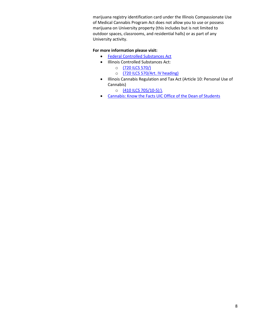marijuana registry identification card under the Illinois Compassionate Use of Medical Cannabis Program Act does not allow you to use or possess marijuana on University property (this includes but is not limited to outdoor spaces, classrooms, and residential halls) or as part of any University activity.

### **For more information please visit:**

- [Federal Controlled Substances Act](https://www.deadiversion.usdoj.gov/21cfr/21usc/811.htm)
- Illinois Controlled Substances Act:
	- o [\(720 ILCS 570/\)](https://www.ilga.gov/legislation/ilcs/ilcs5.asp?ActID=1941&ChapterID=53)
	- o [\(720 ILCS 570/Art. IV heading\)](https://www.ilga.gov/legislation/ilcs/ilcs4.asp?DocName=072005700HArt%2E+IV&ActID=1941&ChapterID=53&SeqStart=5200000&SeqEnd=7900000)
- Illinois Cannabis Regulation and Tax Act (Article 10: Personal Use of Cannabis)
	- o [\(410 ILCS 705/10-5\):\](https://www.ilga.gov/legislation/ilcs/ilcs4.asp?DocNa%20me=041007050HArt%2E+10&ActID=3992&ChapterID%20=35&SeqStart=2000000&SeqEnd=3000000)
- [Cannabis: Know the Facts UIC Office of the Dean of Students](https://dos.uic.edu/student-assistance/health-personal-%20concerns/cannabis-know-the-facts/)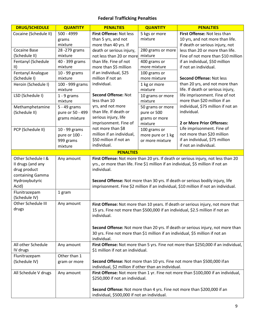### **Federal Trafficking Penalties**

| <b>DRUG/SCHEDULE</b>  | <b>QUANTITY</b>  | <b>PENALTIES</b>                                     | <b>QUANTITY</b>   | <b>PENALTIES</b>                                                                    |
|-----------------------|------------------|------------------------------------------------------|-------------------|-------------------------------------------------------------------------------------|
| Cocaine (Schedule II) | 500 - 4999       | First Offense: Not less                              | 5 kgs or more     | First Offense: Not less than                                                        |
|                       | grams            | than 5 yrs, and not                                  | mixture           | 10 yrs, and not more than life.                                                     |
|                       | mixture          | more than 40 yrs. If                                 |                   | If death or serious injury, not                                                     |
| <b>Cocaine Base</b>   | 28 - 279 grams   | death or serious injury,                             | 280 grams or more | less than 20 or more than life.                                                     |
| (Schedule II)         | mixture          | not less than 20 or more                             | mixture           | Fine of not more than \$10 million                                                  |
| Fentanyl (Schedule    | 40 - 399 grams   | than life. Fine of not                               | 400 grams or      | if an individual, \$50 million                                                      |
| $\parallel$           | mixture          | more than \$5 million                                | more mixture      | if not an individual.                                                               |
| Fentanyl Analogue     | 10 - 99 grams    | if an individual, \$25                               | 100 grams or      |                                                                                     |
| (Schedule I)          | mixture          | million if not an                                    | more mixture      | <b>Second Offense: Not less</b>                                                     |
| Heroin (Schedule I)   | 100 - 999 grams  | individual.                                          | 1 kg or more      | than 20 yrs, and not more than                                                      |
|                       | mixture          |                                                      | mixture           | life. If death or serious injury,                                                   |
| LSD (Schedule I)      | $1 - 9$ grams    | <b>Second Offense: Not</b>                           | 10 grams or more  | life imprisonment. Fine of not                                                      |
|                       | mixture          | less than 10                                         | mixture           | more than \$20 million if an                                                        |
| Methamphetamine       | 5 - 49 grams     | yrs, and not more                                    | 50 grams or more  | individual, \$75 million if not an                                                  |
| (Schedule II)         | pure or 50 - 499 | than life. If death or                               | pure or 500       | individual.                                                                         |
|                       | grams mixture    | serious injury, life                                 | grams or more     |                                                                                     |
|                       |                  | imprisonment. Fine of                                | mixture           | 2 or More Prior Offenses:                                                           |
| PCP (Schedule II)     | 10 - 99 grams    | not more than \$8                                    | 100 grams or      | Life imprisonment. Fine of                                                          |
|                       | pure or 100 -    | million if an individual,                            | more pure or 1 kg | not more than \$20 million                                                          |
|                       | 999 grams        | \$50 million if not an                               | or more mixture   | if an individual, \$75 million                                                      |
|                       | mixture          | individual.                                          |                   | if not an individual.                                                               |
|                       |                  | <b>PENALTIES</b>                                     |                   |                                                                                     |
| Other Schedule I &    | Any amount       |                                                      |                   | First Offense: Not more than 20 yrs. If death or serious injury, not less than 20   |
| II drugs (and any     |                  |                                                      |                   | yrs., or more than life. Fine \$1 million if an individual, \$5 million if not an   |
| drug product          |                  | individual.                                          |                   |                                                                                     |
| containing Gamma      |                  |                                                      |                   |                                                                                     |
| Hydroxybutyric        |                  |                                                      |                   | Second Offense: Not more than 30 yrs. If death or serious bodily injury, life       |
| Acid)                 |                  |                                                      |                   | imprisonment. Fine \$2 million if an individual, \$10 million if not an individual. |
| Flunitrazepam         | 1 gram           |                                                      |                   |                                                                                     |
| (Schedule IV)         |                  |                                                      |                   |                                                                                     |
| Other Schedule III    | Any amount       |                                                      |                   | First Offense: Not more than 10 years. If death or serious injury, not more that    |
| drugs                 |                  |                                                      |                   | 15 yrs. Fine not more than \$500,000 if an individual, \$2.5 million if not an      |
|                       |                  | individual.                                          |                   |                                                                                     |
|                       |                  |                                                      |                   |                                                                                     |
|                       |                  |                                                      |                   | Second Offense: Not more than 20 yrs. If death or serious injury, not more than     |
|                       |                  |                                                      |                   | 30 yrs. Fine not more than \$1 million if an individual, \$5 million if not an      |
|                       |                  | individual.                                          |                   |                                                                                     |
| All other Schedule    | Any amount       |                                                      |                   | First Offense: Not more than 5 yrs. Fine not more than \$250,000 if an individual,  |
| IV drugs              |                  | \$1 million if not an individual.                    |                   |                                                                                     |
| Flunitrazepam         | Other than 1     |                                                      |                   |                                                                                     |
| (Schedule IV)         | gram or more     |                                                      |                   | Second Offense: Not more than 10 yrs. Fine not more than \$500,000 if an            |
|                       |                  | individual, \$2 million if other than an individual. |                   |                                                                                     |
| All Schedule V drugs  | Any amount       |                                                      |                   | First Offense: Not more than 1 yr. Fine not more than \$100,000 if an individual,   |
|                       |                  | \$250,000 if not an individual.                      |                   |                                                                                     |
|                       |                  |                                                      |                   |                                                                                     |
|                       |                  |                                                      |                   | Second Offense: Not more than 4 yrs. Fine not more than \$200,000 if an             |
|                       |                  | individual, \$500,000 if not an individual.          |                   |                                                                                     |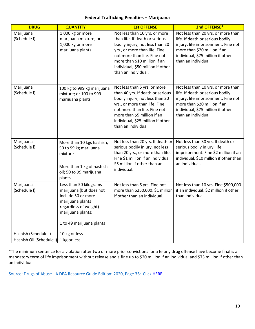### **Federal Trafficking Penalties – Marijuana**

| <b>DRUG</b>                           | <b>QUANTITY</b>                                                                                                                                                       | <b>1st OFFENSE</b>                                                                                                                                                                                                                                              | 2nd OFFENSE*                                                                                                                                                                                              |
|---------------------------------------|-----------------------------------------------------------------------------------------------------------------------------------------------------------------------|-----------------------------------------------------------------------------------------------------------------------------------------------------------------------------------------------------------------------------------------------------------------|-----------------------------------------------------------------------------------------------------------------------------------------------------------------------------------------------------------|
| Marijuana<br>(Schedule I)             | 1,000 kg or more<br>marijuana mixture; or<br>1,000 kg or more<br>marijuana plants                                                                                     | Not less than 10 yrs. or more<br>than life. If death or serious<br>bodily injury, not less than 20<br>yrs., or more than life. Fine<br>not more than life. Fine not<br>more than \$10 million if an<br>individual, \$50 million if other<br>than an individual. | Not less than 20 yrs. or more than<br>life. If death or serious bodily<br>injury, life imprisonment. Fine not<br>more than \$20 million if an<br>individual, \$75 million if other<br>than an individual. |
| Marijuana<br>(Schedule I)             | 100 kg to 999 kg marijuana<br>mixture; or 100 to 999<br>marijuana plants                                                                                              | Not less than 5 yrs. or more<br>than 40 yrs. If death or serious<br>bodily injury, not less than 20<br>yrs., or more than life. Fine<br>not more than life. Fine not<br>more than \$5 million if an<br>individual, \$25 million if other<br>than an individual. | Not less than 10 yrs. or more than<br>life. If death or serious bodily<br>injury, life imprisonment. Fine not<br>more than \$20 million if an<br>individual, \$75 million if other<br>than an individual. |
| Marijuana<br>(Schedule I)             | More than 10 kgs hashish;<br>50 to 99 kg marijuana<br>mixture<br>More than 1 kg of hashish<br>oil; 50 to 99 marijuana<br>plants                                       | Not less than 20 yrs. If death or<br>serious bodily injury, not less<br>than 20 yrs., or more than life.<br>Fine \$1 million if an individual,<br>\$5 million if other than an<br>individual.                                                                   | Not less than 30 yrs. If death or<br>serious bodily injury, life<br>imprisonment. Fine \$2 million if an<br>individual, \$10 million if other than<br>an individual.                                      |
| Marijuana<br>(Schedule I)             | Less than 50 kilograms<br>marijuana (but does not<br>include 50 or more<br>marijuana plants<br>regardless of weight)<br>marijuana plants;<br>1 to 49 marijuana plants | Not less than 5 yrs. Fine not<br>more than \$250,000, \$1 million<br>if other than an individual.                                                                                                                                                               | Not less than 10 yrs. Fine \$500,000<br>if an individual, \$2 million if other<br>than individual                                                                                                         |
| Hashish (Schedule I)                  | 10 kg or less                                                                                                                                                         |                                                                                                                                                                                                                                                                 |                                                                                                                                                                                                           |
| Hashish Oil (Schedule I) 1 kg or less |                                                                                                                                                                       |                                                                                                                                                                                                                                                                 |                                                                                                                                                                                                           |

\*The minimum sentence for a violation after two or more prior convictions for a felony drug offense have become final is a mandatory term of life imprisonment without release and a fine up to \$20 million if an individual and \$75 million if other than an individual.

Source: Drugs of Abuse - A DEA Resource Guide Edition: 2020, Page 36: Click [HERE](https://www.dea.gov/sites/default/files/2020-04/Drugs%20of%20Abuse%202020-Web%20Version-508%20compliant-4-24-20_0.pdf)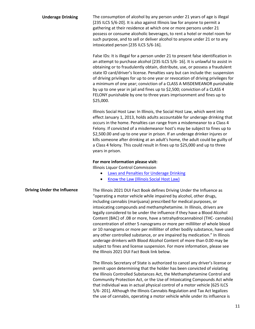**Underage Drinking** The consumption of alcohol by any person under 21 years of age is illegal [235 ILCS 5/6-20]. It is also against Illinois law for anyone to permit a gathering at their residence at which one or more persons under 21 possess or consume alcoholic beverages, to rent a hotel or motel room for such purpose, and to sell or deliver alcohol to anyone under 21 or to any intoxicated person [235 ILCS 5/6-16].

> False IDs: It is illegal for a person under 21 to present false identification in an attempt to purchase alcohol [235 ILCS 5/6- 16]. It is unlawful to assist in obtaining or to fraudulently obtain, distribute, use, or possess a fraudulent state ID card/driver's license. Penalties vary but can include the: suspension of driving privileges for up to one year or revocation of driving privileges for a minimum of one year; conviction of a CLASS A MISDEMEANOR punishable by up to one year in jail and fines up to \$2,500; conviction of a CLASS 4 FELONY punishable by one to three years imprisonment and fines up to \$25,000.

> Illinois Social Host Law: In Illinois, the Social Host Law, which went into effect January 1, 2013, holds adults accountable for underage drinking that occurs in the home. Penalties can range from a misdemeanor to a Class 4 Felony. If convicted of a misdemeanor host's may be subject to fines up to \$2,500.00 and up to one year in prison. If an underage drinker injures or kills someone after drinking at an adult's home, the adult could be guilty of a Class 4 felony. This could result in fines up to \$25,000 and up to three years in prison.

### **For more information please visit:**

Illinois Liquor Control Commission

- [Laws and Penalties for Underage Drinking](https://www2.illinois.gov/ilcc/Education/Pages/Under21Laws.aspx)
- [Know the Law \(Illinois Social Host Law\)](https://www2.illinois.gov/ilcc/Education/Pages/Parental-Responsibility/Know-The-Law.aspx)

**Driving Under the Influence** The Illinois 2021 DUI Fact Book defines Driving Under the Influence as "operating a motor vehicle while impaired by alcohol, other drugs, including cannabis (marijuana) prescribed for medical purposes, or intoxicating compounds and methamphetamine. In Illinois, drivers are legally considered to be under the influence if they have a Blood Alcohol Content (BAC) of .08 or more, have a tetrahydrocannabinol (THC- cannabis) concentration of either 5 nanograms or more per milliliter of whole blood or 10 nanograms or more per milliliter of other bodily substance, have used any other controlled substance, or are impaired by medication." In Illinois underage drinkers with Blood Alcohol Content of more than 0.00 may be subject to fines and license suspension. For more information, please see the Illinois 2021 DUI Fact Book link below.

> The Illinois Secretary of State is authorized to cancel any driver's license or permit upon determining that the holder has been convicted of violating the Illinois Controlled Substances Act, the Methamphetamine Control and Community Protection Act, or the Use of Intoxicating Compounds Act while that individual was in actual physical control of a motor vehicle [625 ILCS 5/6- 201]. Although the Illinois Cannabis Regulation and Tax Act legalizes the use of cannabis, operating a motor vehicle while under its influence is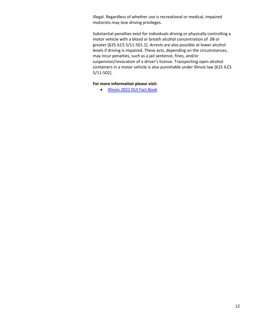illegal. Regardless of whether use is recreational or medical, impaired motorists may lose driving privileges.

Substantial penalties exist for individuals driving or physically controlling a motor vehicle with a blood or breath alcohol concentration of .08 or greater [625 ILCS 5/11-501.1]. Arrests are also possible at lower alcohol levels if driving is impaired. These acts, depending on the circumstances, may incur penalties, such as a jail sentence, fines, and/or suspension/revocation of a driver's license. Transporting open alcohol containers in a motor vehicle is also punishable under Illinois law [625 ILCS 5/11-502].

### **For more information please visit:**

• [Illinois 2021 DUI Fact Book](https://www.cyberdriveillinois.com/publications/pdf_publications/dsd_a118.pdf)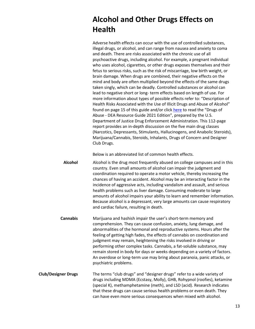# **Alcohol and Other Drugs Effects on Health**

Adverse health effects can occur with the use of controlled substances, illegal drugs, or alcohol, and can range from nausea and anxiety to coma and death. There are risks associated with the chronic use of all psychoactive drugs, including alcohol. For example, a pregnant individual who uses alcohol, cigarettes, or other drugs exposes themselves and their fetus to serious risks, such as the risk of miscarriage, low birth weight, or brain damage. When drugs are combined, their negative effects on the mind and body are often multiplied beyond the effects of the same drugs taken singly, which can be deadly. Controlled substances or alcohol can lead to negative short or long- term effects based on length of use. For more information about types of possible effects refer to: "Description of Health Risks Associated with the Use of Illicit Drugs and Abuse of Alcohol" found on page 15 of this guide and/or click [here](https://www.dea.gov/sites/default/files/2020-04/Drugs%20of%20Abuse%202020-Web%20Version-508%20compliant-4-24-20_0.pdf) to read the "Drugs of Abuse - DEA Resource Guide 2021 Edition", prepared by the U.S. Department of Justice Drug Enforcement Administration. This 112-page report provides an in-depth discussion on the five main drug classes (Narcotics, Depressants, Stimulants, Hallucinogens, and Anabolic Steroids), Marijuana/Cannabis, Steroids, Inhalants, Drugs of Concern and Designer Club Drugs.

Below is an abbreviated list of common health effects.

**Alcohol** Alcohol is the drug most frequently abused on college campuses and in this country. Even small amounts of alcohol can impair the judgment and coordination required to operate a motor vehicle, thereby increasing the chances of having an accident. Alcohol may be an interacting factor in the incidence of aggressive acts, including vandalism and assault, and serious health problems such as liver damage. Consuming moderate to large amounts of alcohol impairs your ability to learn and remember information. Because alcohol is a depressant, very large amounts can cause respiratory and cardiac failure, resulting in death.

**Cannabis** Marijuana and hashish impair the user's short-term memory and comprehension. They can cause confusion, anxiety, lung damage, and abnormalities of the hormonal and reproductive systems. Hours after the feeling of getting high fades, the effects of cannabis on coordination and judgment may remain, heightening the risks involved in driving or performing other complex tasks. Cannabis, a fat-soluble substance, may remain stored in body for days or weeks depending on a variety of factors. An overdose or long-term use may bring about paranoia, panic attacks, or psychiatric problems.

**Club/Designer Drugs** The terms "club drugs" and "designer drugs" refer to a wide variety of drugs including MDMA (Ecstasy, Molly), GHB, Rohypnol (roofies), ketamine (special K), methamphetamine (meth), and LSD (acid). Research indicates that these drugs can cause serious health problems or even death. They can have even more serious consequences when mixed with alcohol.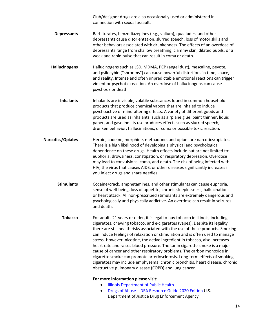Club/designer drugs are also occasionally used or administered in connection with sexual assault.

- **Depressants** Barbiturates, benzodiazepines (e.g., valium), quaaludes, and other depressants cause disorientation, slurred speech, loss of motor skills and other behaviors associated with drunkenness. The effects of an overdose of depressants range from shallow breathing, clammy skin, dilated pupils, or a weak and rapid pulse that can result in coma or death.
- **Hallucinogens** Hallucinogens such as LSD, MDMA, PCP (angel dust), mescaline, peyote, and psilocybin ("shrooms") can cause powerful distortions in time, space, and reality. Intense and often unpredictable emotional reactions can trigger violent or psychotic reaction. An overdose of hallucinogens can cause psychosis or death.
- **Inhalants** Inhalants are invisible, volatile substances found in common household products that produce chemical vapors that are inhaled to induce psychoactive or mind-altering effects. A variety of different goods and products are used as inhalants, such as airplane glue, paint thinner, liquid paper, and gasoline. Its use produces effects such as slurred speech, drunken behavior, hallucinations, or coma or possible toxic reaction.
- **Narcotics/Opiates** Heroin, codeine, morphine, methadone, and opium are narcotics/opiates. There is a high likelihood of developing a physical and psychological dependence on these drugs. Health effects include but are not limited to: euphoria, drowsiness, constipation, or respiratory depression. Overdose may lead to convulsions, coma, and death. The risk of being infected with HIV, the virus that causes AIDS, or other diseases significantly increases if you inject drugs and share needles.
	- **Stimulants** Cocaine/crack, amphetamines, and other stimulants can cause euphoria, sense of well-being, loss of appetite, chronic sleeplessness, hallucinations or heart attack. All non-prescribed stimulants are extremely dangerous and psychologically and physically addictive. An overdose can result in seizures and death.
		- **Tobacco** For adults 21 years or older, it is legal to buy tobacco in Illinois, including cigarettes, chewing tobacco, and e-cigarettes (vapes). Despite its legality there are still health risks associated with the use of these products. Smoking can induce feelings of relaxation or stimulation and is often used to manage stress. However, nicotine, the active ingredient in tobacco, also increases heart rate and raises blood pressure. The tar in cigarette smoke is a major cause of cancer and other respiratory problems. The carbon monoxide in cigarette smoke can promote arteriosclerosis. Long-term effects of smoking cigarettes may include emphysema, chronic bronchitis, heart disease, chronic obstructive pulmonary disease (COPD) and lung cancer.

### **For more information please visit:**

- [Illinois Department of Public Health](http://www.dph.illinois.gov/news/age-buy-tobacco-now-21)
- Drugs of Abuse [DEA Resource Guide 2020](https://www.getsmartaboutdrugs.gov/sites/getsmartaboutdrugs.com/files/publications/Drugs%20of%20Abuse%202020-Web%20Version-508%20compliant.pdf) Edition U.S. Department of Justice Drug Enforcement Agency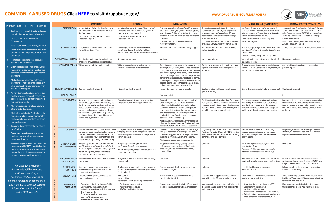# **COMMONLY ABUSED DRUGS Click [HERE](https://www.drugabuse.gov/drug-topics/commonly-used-drugs-charts)** to visit drugabuse.gov/<br> **COMMONLY ABUSED DRUGS Click HERE** to visit drugabuse.gov/

| PRINCIPLES OF EFFECTIVE TREATMENT                                                                                                                                                                                                                                                                                                                        |                           |                                       | <b>COCAINE</b>                                                                                                                                                                                                                                                                                                                                                       | <b>HEROIN</b>                                                                                                                                                                         | <b>INHALANTS</b>                                                                                                                                                                                                                                                                                                                                                                                                                                                                                                                 | <b>LSD</b>                                                                                                                                                                                                                                                                                           | <b>MARIJUANA (CANNABIS)</b>                                                                                                                                                                                                            | <b>MDMA (ECSTASY/MOLLY)</b>                                                                                                                                                                                                                                                                     |
|----------------------------------------------------------------------------------------------------------------------------------------------------------------------------------------------------------------------------------------------------------------------------------------------------------------------------------------------------------|---------------------------|---------------------------------------|----------------------------------------------------------------------------------------------------------------------------------------------------------------------------------------------------------------------------------------------------------------------------------------------------------------------------------------------------------------------|---------------------------------------------------------------------------------------------------------------------------------------------------------------------------------------|----------------------------------------------------------------------------------------------------------------------------------------------------------------------------------------------------------------------------------------------------------------------------------------------------------------------------------------------------------------------------------------------------------------------------------------------------------------------------------------------------------------------------------|------------------------------------------------------------------------------------------------------------------------------------------------------------------------------------------------------------------------------------------------------------------------------------------------------|----------------------------------------------------------------------------------------------------------------------------------------------------------------------------------------------------------------------------------------|-------------------------------------------------------------------------------------------------------------------------------------------------------------------------------------------------------------------------------------------------------------------------------------------------|
| Addiction is a complex but treatable disease<br>that affects brain function and behavior.<br>2. No single treatment is appropriate<br>for everyone.                                                                                                                                                                                                      |                           | <b>DESCRIPTION</b>                    | A powerfully addictive stimulant drug made<br>from the leaves of the cocaplant native to<br>South America.<br>Formore information, see the Cocaine<br>Research Report.                                                                                                                                                                                               | An opioid drug made from morphine, a natural<br>substance extracted from the seed pod of the<br>various opium poppyplant.<br>For more information, see the Heroin<br>Research Report. | Solvents, aerosols, and gases found in household<br>products such as spray paints, markers, glues,<br>and cleaning fluids; also nitrites (e.g., amyl<br>nitrite), which are prescription medications for<br>chest pain.<br>For more information, see the Inhalants<br>Research Report.                                                                                                                                                                                                                                           | A hallucinogen manufactured from lysergic<br>acid, which is found in ergot, a fungus that<br>grows on rye and other grains. LSD is an<br>abbreviation of the scientific name lysergic<br>acid diethylamide.<br>Formore information, see the Hallucinogens<br>and Dissociative Drugs Research Report. | Marijuana is made from the hemp plant.<br>Cannabis sativa. The main psychoactive (mind-<br>altering) chemical in marijuana is delta-9-<br>tetrahydrocannabinol, or THC.<br>For more information, see the Marijuana<br>Research Report. | A synthetic, psychoactive drugthat has similarities<br>to both the stimulant amphetamine and the<br>hallucinogen mescaline. MDMA is an abbreviation<br>of the scientific name 3.4-methylenedioxy-<br>methamphetamine.<br>For more information, see the MDMA (Ecstasy)<br>Abuse Research Report. |
| Treatmentneedstobereadilyavailable<br>Effective treatment attends to multipleneeds<br>of the individual, not just his or herdruguse<br>or misuse.                                                                                                                                                                                                        |                           |                                       | STREET NAMES Blow, Bump, C, Candy, Charlie, Coke, Crack,<br>Flake, Rock, Snow, Toot                                                                                                                                                                                                                                                                                  | Brownsugar, China White, Dope, H, Horse,<br>Junk, Skag, Skunk, Smack, White Horse<br>With OTC cold medicine and antihistamine: Cheese                                                 | Poppers, snappers, whippets, laughing gas                                                                                                                                                                                                                                                                                                                                                                                                                                                                                        | Acid, Blotter, Blue Heaven, Cubes, Microdot,<br><b>Yellow Sunshine</b>                                                                                                                                                                                                                               | Blunt, Bud, Dope, Ganja, Grass, Green, Herb, Joint.<br>Mary Jane, Pot, Reefer, Sinsemilla, Skunk, Smoke,<br>Trees, Weed<br>Hashish: Boom, Gangster, Hash, Hemp                                                                         | Adam, Clarity, Eve, Lover's Speed, Peace, Uppers                                                                                                                                                                                                                                                |
| Remaining in treatment for an adequate<br>period of time is critical.                                                                                                                                                                                                                                                                                    |                           |                                       | COMMERCIAL NAMES Cocaine hydrochloride topical solution<br>(anesthetic rarely used in medical procedures)                                                                                                                                                                                                                                                            | No commercial uses                                                                                                                                                                    | Various                                                                                                                                                                                                                                                                                                                                                                                                                                                                                                                          | No commercial uses                                                                                                                                                                                                                                                                                   | Various brand names in states where the sale of<br>marijuana is legal                                                                                                                                                                  | No commercial uses                                                                                                                                                                                                                                                                              |
| Behavioral therapies—including individual<br>family, or group counseling—are the most<br>commonly used forms of drug use disorder<br>treatment.<br>Medications are an important element of<br>treatment for many patients, especially<br>when combined with counseling and other                                                                         |                           |                                       | <b>COMMON FORMS</b> White powder, whitish rock crystal                                                                                                                                                                                                                                                                                                               | White or brownish powder, or black sticky<br>substance known as "black tar heroin"                                                                                                    | Paint thinners or removers, degreasers, dry-<br>cleaning fluids, gasoline, lighter fluids, correction<br>fluids, permanent markers, electronics cleaners added to<br>and freeze sprays, glue, spray paint, hair or<br>deodorant sprays, fabric protector sprays, aerosol<br>computer cleaning products, vegetable oil sprays,<br>butane lighters, propane tanks, whipped cream<br>aerosol containers, refrigerant gases, ether,<br>chloroform, halothane, nitrous oxide                                                          | Tablet; capsule; clear liquid; small, decorated<br>squares of absorbent paper that liquid has been                                                                                                                                                                                                   | Greenish-gray mixture of dried, shredded leaves,<br>stems, seeds, and/orflowers; resin (hashish) or<br>sticky, black liquid (hash oil)                                                                                                 | Colorful tablets with imprinted logos, capsules,<br>powder, liquid                                                                                                                                                                                                                              |
| behavioral therapies.<br>An individual's treatment and services plan                                                                                                                                                                                                                                                                                     |                           |                                       | COMMON WAYS TAKEN Snorted, smoked, injected                                                                                                                                                                                                                                                                                                                          | Injected, smoked, snorted                                                                                                                                                             | Inhaled through the nose or mouth                                                                                                                                                                                                                                                                                                                                                                                                                                                                                                | Swallowed, absorbed through mouth tissues<br>(paper squares)                                                                                                                                                                                                                                         | Smoked, eaten (mixed in food or brewed as tea)                                                                                                                                                                                         | Swallowed, snorted                                                                                                                                                                                                                                                                              |
| must be assessed continually and modified                                                                                                                                                                                                                                                                                                                |                           | DEA SCHEDULE                          |                                                                                                                                                                                                                                                                                                                                                                      |                                                                                                                                                                                       | Not scheduled                                                                                                                                                                                                                                                                                                                                                                                                                                                                                                                    |                                                                                                                                                                                                                                                                                                      |                                                                                                                                                                                                                                        |                                                                                                                                                                                                                                                                                                 |
| as necessary to ensure that it meets his or<br>her changing needs.<br>Many drug-addicted individuals also have<br>other mental disorders.<br>10. Medically assisted detoxification is only the<br>firststage of addiction treatment and by<br>itselfdoeslittletochangelong-termdrug<br>use and misuse.<br>11. Treatment does not need to be voluntary to |                           | SHORT-TERM                            | Narrowed blood vessels; enlarged pupils;<br>increased body temperature, heart rate, and<br>blood pressure; headache; abdominal pain and<br>nausea; euphoria; increased energy, alertness;<br>insomnia, restlessness; anxiety; erratic and<br>violent behavior, panic attacks, paranoia,<br>psychosis; heart rhythm problems, heart<br>attack; stroke, seizure, coma. | Euphoria; dry mouth; itching; nausea; vomiting;<br>analgesia; slowed breathing and heart rate.                                                                                        | Confusion; nausea; slurred speech; lack of<br>coordination; euphoria; dizziness; drowsiness;<br>disinhibition, lightheadedness, hallucinations/<br>delusions; headaches; sudden sniffing death<br>due to heart failure (from butane, propane,<br>and other chemicals in aerosols); death from<br>asphyxiation, suffocation, convulsions or<br>seizures, coma, or choking.<br>Nitrites: enlarged blood vessels, enhanced sexual<br>pleasure, increased heartrate, brief sensation of<br>heat and excitement, dizziness, headache. | Rapid emotional swings; distortion of a person's<br>ability to recognize reality, think rationally, or<br>communicate with others; raised blood pressure,<br>heartrate, bodytemperature; dizziness; loss of<br>appetite; tremors; enlarged pupils.                                                   | Enhanced sensory perception and euphoria<br>followed by drowsiness/relaxation; slowed<br>reaction time; problems with balance and<br>coordination; increased heart rate and appetite<br>problems with learning and memory; anxiety.    | Lowered inhibition; enhanced sensory perception;<br>increased heart rate and blood pressure; muscle<br>tension; nausea; faintness; chills or sweating; sharp<br>rise in body temperature leading to kidney failure<br>or death.                                                                 |
| be effective.<br>12. Drug use during treatment must be<br>monitored continuously, as lapses during<br>treatment do occur.                                                                                                                                                                                                                                | <b>HEALTHEFFECTS</b><br>Ш |                                       | LONG-TERM   Loss of sense of smell, nosebleeds, nasal<br>damage and trouble swallowing from snorting;<br>infection and death of bowel tissue from<br>decreased blood flow; poor nutrition and<br>weight loss; lung damage from smoking.                                                                                                                              | Collapsed veins; abscesses (swollen tissue<br>with pus); infection of the lining and valves in the<br>heart; constipation and stomach cramps; liver or<br>kidney disease.             | Liver and kidney damage; bone marrow damage;<br>limb spasms due to nerve damage; brain damage<br>fromlackofoxygenthatcancauseproblemswith<br>thinking, movement, vision, and hearing.<br>Nitrites: increased risk of pneumonia.                                                                                                                                                                                                                                                                                                  | Frightening flashbacks (called Hallucinogen<br>Persisting Perception Disorder [HPPD]); ongoing<br>visual disturbances, disorganized thinking,<br>paranoia, and mood swings.                                                                                                                          | Mental health problems, chronic cough,<br>frequent respiratory infections. In rare cases,<br>riskofrecurrentepisodesofseverenausea<br>and vomiting.                                                                                    | Long-lasting confusion, depression, problems with<br>attention, memory, and sleep; increased anxiety,<br>impulsiveness less interest in sex                                                                                                                                                     |
| 13. Treatment programs should test patients for<br>the presence of HIV/AIDS, Hepatitis B and C,<br>tuberculosis, and other infectious diseases.<br>provide risk-reduction counseling, and link<br>patients to treatment if necessary.                                                                                                                    | P <sub>OS</sub>           | <b>RELATED ISSUES</b>                 | OTHER HEALTH- Pregnancy: premature delivery, low birth<br>weight, deficits in self-regulation and attention<br>in school-aged children prenatally exposed<br>Risk of HIV, hepatitis, and other infectious<br>diseases from shared needles.                                                                                                                           | Pregnancy: miscarriage, low birth<br>weight, neonatal abstinence syndrome.<br>Risk of HIV, hepatitis, and other infectious diseases<br>from shared needles.                           | Pregnancy: low birth weight, bone problems,<br>delayed behavioral development due to brain<br>problems, altered metabolism and body<br>composition.                                                                                                                                                                                                                                                                                                                                                                              | Unknown                                                                                                                                                                                                                                                                                              | Youth: May impair brain development and<br>learning functions.<br>Pregnancy: babies born with problems with<br>attention, memory, and problem solving.                                                                                 | Unknown                                                                                                                                                                                                                                                                                         |
|                                                                                                                                                                                                                                                                                                                                                          |                           | WITH ALCOHOL                          | IN COMBINATION Greater risk of cardiac toxicity than from either<br>drug alone.                                                                                                                                                                                                                                                                                      | Dangerous slowdown of heart rate and breathing,<br>coma, death.                                                                                                                       | Unknown                                                                                                                                                                                                                                                                                                                                                                                                                                                                                                                          | Unknown                                                                                                                                                                                                                                                                                              | Increased heart rate, blood pressure; further<br>slowing of mental processing and reaction time.                                                                                                                                       | MDMA decreases some of alcohol's effects. Alcohol<br>can increase plasma concentrations of MDMA, which<br>may increase the risk of neurotoxic effects.                                                                                                                                          |
| <b>The Drug Enforcement</b><br>Administration (DEA) schedule<br>indicates the drug's                                                                                                                                                                                                                                                                     |                           | WITHDRAWAL<br><b>SYMPTOMS</b>         | Depression, tiredness, increased appetite,<br>insomnia, vivid unpleasant dreams, slowed<br>movement, restlessness.                                                                                                                                                                                                                                                   | Restlessness, muscle and bone pain, insomnia,<br>diarrhea, vomiting, cold flashes with goose bumps<br>("cold turkey").                                                                | Nausea, tremors, irritability, problems sleeping,<br>and mood changes.                                                                                                                                                                                                                                                                                                                                                                                                                                                           | Unknown                                                                                                                                                                                                                                                                                              | Irritability, trouble sleeping, decreased<br>appetite, anxiety.                                                                                                                                                                        | Fatigue, loss of appetite, depression, aggression<br>trouble concentrating.                                                                                                                                                                                                                     |
| acceptable medical use and its<br>potential for abuse or dependence                                                                                                                                                                                                                                                                                      |                           |                                       | MEDICATIONS   Thereare no FDA-approved medications to<br>treat cocaine addiction.                                                                                                                                                                                                                                                                                    | Methadone<br><b>Buprenorphine</b><br>Naltrexone (short- and long-acting forms)                                                                                                        | There are no FDA-approved medications to<br>treat inhalant addiction                                                                                                                                                                                                                                                                                                                                                                                                                                                             | There are no FDA-approved medications to<br>treat addiction to LSD or other hallucinogens.                                                                                                                                                                                                           | There are no FDA-approved medications to<br>treat marijuana addiction.                                                                                                                                                                 | There is conflicting evidence about whether MDMA<br>is addictive. There are no FDA-approved medications<br>to treat MDMA addiction.                                                                                                                                                             |
| The most up-to-date scheduling<br>information can be found<br>on the DEA website.                                                                                                                                                                                                                                                                        | <b>TREATMENT OPTIONS</b>  | <b>BEHAVIORAL</b><br><b>THERAPIES</b> | Cognitive-behavioral therapy (CBT)<br>Contingency management, or<br>motivational incentives, including vouchers<br>• The Matrix model<br>• Community-based recovery groups,<br>such as 12-stepprograms<br>• Mobile medical application: reSET <sup>®</sup>                                                                                                           | Contingency management, or<br>motivational incentives<br>12-Step facilitation therapy                                                                                                 | More researchisneeded to find out if behavioral<br>therapies can be used to treat inhalant addiction.                                                                                                                                                                                                                                                                                                                                                                                                                            | More research is needed to find out if behavioral<br>therapies can be used to treat addiction to<br>hallucinogens.                                                                                                                                                                                   | Cognitive-behavioral therapy (CBT)<br>Contingency management, or<br>motivational incentives<br>• Motivational Enhancement Therapy (MET)<br>• Behavioraltreatmentsgearedtoadolescents<br>• Mobile medical application: reSET®           | More research is needed to find out if behavioral<br>therapies can be used to treat MDMA addiction.                                                                                                                                                                                             |



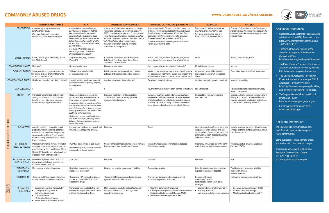### Additional Resources:

• Substance Abuse and Mental Health Services Administration (SAMHSA) Treatment Locator: http://www.findtreatment.samhsa.gov; 1-800-662-HELP.

NIH

- The"Find aPhysician"feature on the American Society of Addiction Medicine (ASAM) website: [http://www.asam.org/for-the-public-treatment.](http://www.asam.org/for-the-public-treatment)
- The Patient Referral Program on the American Academy of Addiction Psychiatry website: [http://www.aaap.org/patient-resources.](http://www.aaap.org/patient-resources)
- The Child and Adolescent Psychiatrist Finder on the American Academy of Child & Adolescent Psychiatry Web site: http:/[/ http://www.aacap.org/aacap/Families\\_](http://www.aacap.org/aacap/Families_) and\_Youth/Resources/CAP\_Finder.aspx.
- TheSurgeonGeneral'sReportonAlcohol, Drugs, and Health: https://addiction.surgeongeneral.gov/
- Forclinicaltrialsinformation,goto [www.clinicaltrials.gov.](http://www.clinicaltrials.gov/)

To order print copies, call the DRUGPubs ResearchDisseminationCenter at 1-877-NIH-NIDA or go to drugpubs.drugabuse.gov.

### For More Information:

The NIDAwebsite[,www.drugabuse.gov,](http://www.drugabuse.gov/) hasinformationonavarietyofdrugsand related information.

Some publications, including these charts, are available in print, free of charge.

*Ethylalcohol,orethanol,isanintoxicating ingredientfoundinbeer,wineandliquor.Itis producedbythefermentationofyeast,sugars, and starches.*

- e, Sauce, Brew
- liquor/spirits/malt beverages
- 
- age 21
- risky behavior, including drunk inappropriate sexual behavior; ement, coordination, and reflexes; ech, memory problems.

- rtbeat, stroke, high blood pressure; fibrosis of the liver; mouth, throat, cancer.
- *Pated: fetal alcohol spectrum disorders (FASD)*

## **COMMONLY ABUSED DRUGS [WWW.DRUGABUSE.GOV/RESEARCHERS](http://www.drugabuse.gov/RESEARCHERS)**

|                      |                                       | <b>METHAMPHETAMINE</b>                                                                                                                                                                                                                | <b>PCP</b>                                                                                                                                                                                                                                                                                                                                                                                                                                                                           | <b>SYNTHETIC CANNABINOIDS</b>                                                                                                                                                                                                                                                                                                                                    | <b>SYNTHETIC CATHINONES ("BATH SALTS")</b>                                                                                                                                                                                                                                                                                                       | <b>TOBACCO</b>                                                                                                                                                                               | <b>ALCOHOL</b>                                                                                                                                                                |
|----------------------|---------------------------------------|---------------------------------------------------------------------------------------------------------------------------------------------------------------------------------------------------------------------------------------|--------------------------------------------------------------------------------------------------------------------------------------------------------------------------------------------------------------------------------------------------------------------------------------------------------------------------------------------------------------------------------------------------------------------------------------------------------------------------------------|------------------------------------------------------------------------------------------------------------------------------------------------------------------------------------------------------------------------------------------------------------------------------------------------------------------------------------------------------------------|--------------------------------------------------------------------------------------------------------------------------------------------------------------------------------------------------------------------------------------------------------------------------------------------------------------------------------------------------|----------------------------------------------------------------------------------------------------------------------------------------------------------------------------------------------|-------------------------------------------------------------------------------------------------------------------------------------------------------------------------------|
|                      | <b>DESCRIPTION</b>                    | An extremely addictive stimulant<br>amphetamine drug.<br>For more information, see the<br>Methamphetamine Research Report.                                                                                                            | A dissociative drug developed as<br>an intravenous anesthetic that has<br>been discontinued due to serious<br>adverse effects. Dissociative drugs<br>are hallucinogens that cause the user<br>tofeeldetachedfromreality. PCPis<br>an abbreviation of the scientific name.<br>phencyclidine.<br>For more information, see the<br>Hallucinogens and Dissociative<br>Drugs Research Report.                                                                                             | A wide variety of herbal mixtures containing<br>man-made cannabinoid chemicals related to<br>THC in marijuana but often much stronger and<br>more dangerous. Sometimes misleadingly called<br>"synthetic marijuana" and marketed as a "natural,<br>"safe," legal alternative to marijuana.<br>For more information, see the Synthetic<br>Cannabinoids DrugFacts. | An emerging family of drugs containing one or more<br>synthetic chemicals related to cathinone, a stimulant<br>found naturally in the khat plant. Examples of such<br>chemicals include mephedrone, methylone, and<br>3, 4-methylenedioxypyrovalerone (MDPV).<br>For more information, see the Synthetic Cathinones<br>("Bath Salts") DrugFacts. | Plant grown for its leaves, which are<br>dried and fermented before use.<br>For more information, see the<br>Tobacco/Nicotine Research Report.                                               | Ethyl alcohol, or ethanol, is an intoxicating<br>ingredient found in beer, wine and liquor. I<br>produced by the fermentation of yeast, suga<br>and starches.                 |
|                      |                                       | STREET NAMES Crank, Chalk, Crystal, Fire, Glass, Go Fast,<br>Ice, Meth, Speed                                                                                                                                                         | Angel Dust, Boat, Hog, Love Boat,<br>Peace Pill                                                                                                                                                                                                                                                                                                                                                                                                                                      | K2, Spice, Black Mamba, Bliss, Bombay Blue,<br>Fake Weed, Fire, Genie, Moon Rocks, Skunk,<br>Smacked, Yucatan, Zohai                                                                                                                                                                                                                                             | Bloom, Cloud Nine, Cosmic Blast, Flakka, Ivory Wave,<br>Lunar Wave, Scarface, Vanilla Sky, White Lightning                                                                                                                                                                                                                                       | None                                                                                                                                                                                         | Booze, Juice, Sauce, Brew                                                                                                                                                     |
|                      | COMMERCIAL NAMES   Desoxyn®           |                                                                                                                                                                                                                                       | No commercial uses                                                                                                                                                                                                                                                                                                                                                                                                                                                                   | No commercial uses                                                                                                                                                                                                                                                                                                                                               | No commercial uses for ingested "bath salts"                                                                                                                                                                                                                                                                                                     | Multiple brand names                                                                                                                                                                         | Various                                                                                                                                                                       |
|                      |                                       | COMMON FORMS White powder or pill; crystal meth looks<br>like pieces of glass or shiny blue-white<br>"rocks" of different sizes                                                                                                       | White or colored powder, tablet,<br>or capsule; clearliquid                                                                                                                                                                                                                                                                                                                                                                                                                          | Dried, shredded plant material that looks like<br>potpourri and is sometimes sold as "incense"                                                                                                                                                                                                                                                                   | White or brown crystalline powder sold in small plastic or<br>foil packages labeled "not for human consumption" and<br>sometimes sold as jewelry cleaner; tablet, capsule, liquid                                                                                                                                                                | Cigarettes, cigars, bidis, hookahs,<br>smokeless tobacco (snuff, spittobacco,<br>chew)                                                                                                       | Beer, wine, liquor/spirits/malt beverages                                                                                                                                     |
|                      |                                       | COMMON WAYS TAKEN Swallowed, snorted, smoked, injected                                                                                                                                                                                | Injected, snorted, swallowed, smoked<br>(powder added to mint, parsley, oregano,<br>or marijuana)                                                                                                                                                                                                                                                                                                                                                                                    | Smoked, swallowed (brewed as tea).                                                                                                                                                                                                                                                                                                                               | Swallowed, snorted, injected.                                                                                                                                                                                                                                                                                                                    | Smoked, snorted, chewed, vaporized.                                                                                                                                                          | Ingested by drinking                                                                                                                                                          |
|                      | DEA SCHEDULE   II                     |                                                                                                                                                                                                                                       | $\parallel$ . $\parallel$                                                                                                                                                                                                                                                                                                                                                                                                                                                            |                                                                                                                                                                                                                                                                                                                                                                  | I (Some formulations have been banned by the DEA)                                                                                                                                                                                                                                                                                                | Not Scheduled                                                                                                                                                                                | Not scheduled; illegal for purchase or use by<br>those under age 21                                                                                                           |
| <b>EFFECTS</b>       | SHORT-TERM                            | Increased wakefulness and physical<br>activity; decreased appetite; increased<br>breathing, heart rate, blood pressure,<br>temperature; irregular heartbeat.                                                                          | Delusions, hallucinations, paranoia,<br>problems thinking, a sense of distance<br>from one's environment, anxiety.<br>Low doses: slight increase in breathing<br>rate; increased blood pressure and heart<br>rate; shallow breathing; face redness and<br>sweating; numbness of the hands or feet;<br>problems with movement.<br>High doses: nausea; vomiting; flicking up<br>and down of the eyes; drooling; loss of<br>balance; dizziness; violence; seizures,<br>coma, and death. | Increased heart rate; vomiting; agitation;<br>confusion; hallucinations, anxiety, paranoia;<br>increased blood pressure.                                                                                                                                                                                                                                         | Increased heart rate and blood pressure; euphoria;<br>increased sociability and sex drive; paranoia, agitation,<br>and hallucinations; violent behavior; sweating; nausea,<br>vomiting; insomnia; irritability; dizziness; depression;<br>panic attacks; reduced motor control; cloudy thinking.                                                 | Increased blood pressure, breathing,<br>and heart rate.                                                                                                                                      | Injuries and risky behavior, including drui<br>driving and inappropriate sexual behavior<br>impaired judgement, coordination, and reflexe<br>slurred speech, memory problems. |
| <b>HEALTH</b><br>BLE | LONG-TERM                             | Anxiety, confusion, insomnia, mood<br>problems, violent behavior, paranoia,<br>hallucinations, delusions, weight loss,<br>severe dental problems ("meth mouth"),<br>intense itching leading to skin sores<br>from scratching.         | Memory loss, problems with speech and<br>thinking, loss of appetite, anxiety.                                                                                                                                                                                                                                                                                                                                                                                                        | Unknown                                                                                                                                                                                                                                                                                                                                                          | Death                                                                                                                                                                                                                                                                                                                                            | Greatly increased risk of cancer, especially<br>lung cancer when smoked and oral<br>cancers when chewed; chronic bronchitis;<br>emphysema; heart disease; leukemia;<br>cataracts; pneumonia. | Irregular heartbeat, stroke, high blood pressu<br>cirrhosis and fibrosis of the liver; mouth, thro<br>liver, breast cancer.                                                   |
| <b>POSS</b>          | <b>RELATED ISSUES</b>                 | OTHER HEALTH- Pregnancy: premature delivery; separation<br>of the placenta from the uterus; low birth<br>weight; lethargy; heart and brain problems.<br>Risk of HIV, hepatitis, and other infectious<br>diseases from shared needles. | PCP has been linked to self-injury.<br>Risk of HIV, hepatitis, and other infectious<br>diseases from shared needles.                                                                                                                                                                                                                                                                                                                                                                 | Use of synthetic cannabinoids has led to an increase<br>in emergency room visits in certain areas.                                                                                                                                                                                                                                                               | Risk of HIV, hepatitis, and other infectious diseases<br>from shared needles.                                                                                                                                                                                                                                                                    | Pregnancy: miscarriage, low birth weight,<br>stillbirth, learning and behavior problems.                                                                                                     | Pregnancy-related: fetal alcohol spectrum<br>disorders (FASD)                                                                                                                 |
|                      | IN COMBINATION<br><b>WITH ALCOHOL</b> | Masksthedepressanteffectofalcohol<br>increasing risk of alcohol overdose; may<br>increase blood pressure.                                                                                                                             | Unknown                                                                                                                                                                                                                                                                                                                                                                                                                                                                              | Unknown                                                                                                                                                                                                                                                                                                                                                          | Unknown                                                                                                                                                                                                                                                                                                                                          | Unknown                                                                                                                                                                                      | N/A                                                                                                                                                                           |
|                      | WITHDRAWAL<br><b>SYMPTOMS</b>         | Depression, anxiety, tiredness.                                                                                                                                                                                                       | Headaches, increased appetite,<br>sleepiness, depression.                                                                                                                                                                                                                                                                                                                                                                                                                            | Headaches, anxiety, depression, irritability.                                                                                                                                                                                                                                                                                                                    | Depression, anxiety.                                                                                                                                                                                                                                                                                                                             | Irritability, attention and sleep problems,<br>depression, increased appetite.                                                                                                               | Trouble sleeping, shakiness, irritability,<br>depression, anxiety,<br>nausea, sweating.                                                                                       |
|                      | <b>MEDICATIONS</b>                    | There are no FDA-approved medications<br>to treat methamphetamine addiction.                                                                                                                                                          | There are no FDA-approved medications<br>to treat addiction to PCP or other<br>dissociative drugs.                                                                                                                                                                                                                                                                                                                                                                                   | There are no FDA-approved medications to treat<br>synthetic cannabinoid addiction.                                                                                                                                                                                                                                                                               | There are no FDA-approved medications to treat<br>addiction to syntheticcathinones.                                                                                                                                                                                                                                                              | Bupropion (Zyban®)<br>Varenicline (Chantix®)<br>Nicotine replacement (gum, patch,<br>lozenge)                                                                                                | Naltrexone, acamprosate, disulfiram.                                                                                                                                          |
| TREATMENT<br>OPTIONS | <b>BEHAVIORAL</b><br><b>THERAPIES</b> | Cognitive-behavioral therapy (CBT)<br>Contingency management, or<br>motivational incentives<br>• The Matrix model<br>• 12-Step facilitation therapy<br>• Mobile medical application: reSET®                                           | More research is needed to find out if<br>behavioral therapies can be used to treat<br>addiction to dissociative drugs.                                                                                                                                                                                                                                                                                                                                                              | More research is needed to find out if behavioral<br>therapies can be used to treat synthetic<br>cannabinoid addiction.                                                                                                                                                                                                                                          | Cognitive-behavioral therapy (CBT)<br>• Contingency management, or motivational incentives<br>• Motivational Enhancement Therapy (MET)<br>• Behavioral treatments geared to teens                                                                                                                                                                | • Cognitive-behavioral therapy (CBT)<br>• Self-help materials<br>• Mail, phone, and Internet quit resources                                                                                  | Cognitive-behavioral therapy (CBT)<br>• 12-Step facilitation therapy<br>Mobile medical application: reSET®                                                                    |



National Institute<br>on Drug Abuse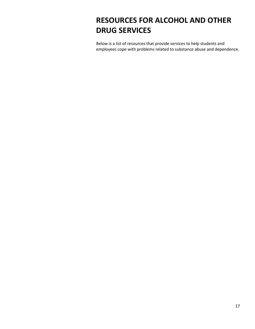# <span id="page-16-0"></span>**RESOURCES FOR ALCOHOL AND OTHER DRUG SERVICES**

Below is a list of resources that provide services to help students and employees cope with problems related to substance abuse and dependence.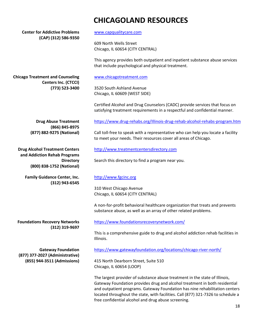# **CHICAGOLAND RESOURCES**

**Center for Addictive Problems (CAP) (312) 586-9350**

**Chicago Treatment and Counseling**

[www.capqualitycare.com](http://www.capqualitycare.com/)

609 North Wells Street Chicago, IL 60654 (CITY CENTRAL)

This agency provides both outpatient and inpatient substance abuse services that include psychological and physical treatment.

#### [www.chicagotreatment.com](http://www.chicagotreatment.com/)

3520 South Ashland Avenue Chicago, IL 60609 (WEST SIDE)

Certified Alcohol and Drug Counselors (CADC) provide services that focus on satisfying treatment requirements in a respectful and confidential manner.

**Drug Abuse Treatment (866) 845-8975 (877) 882-9275 (National)**

**Centers Inc. (CTCCI) (773) 523-3400**

**Drug Alcohol Treatment Centers and Addiction Rehab Programs Directory (800) 838-1752 (National)**

> **Family Guidance Center, Inc. (312) 943-6545**

<https://www.drug-rehabs.org/Illinois-drug-rehab-alcohol-rehabs-program.htm>

Call toll-free to speak with a representative who can help you locate a facility to meet your needs. Their resources cover all areas of Chicago.

#### [http://www.treatmentcentersdirectory.com](http://www.treatmentcentersdirectory.com/)

Search this directory to find a program near you.

### [http://www.fgcinc.org](http://www.fgcinc.org/)

310 West Chicago Avenue Chicago, IL 60654 (CITY CENTRAL)

A non-for-profit behavioral healthcare organization that treats and prevents substance abuse, as well as an array of other related problems.

**Foundations Recovery Networks (312) 319-9697** <https://www.foundationsrecoverynetwork.com/>

This is a comprehensive guide to drug and alcohol addiction rehab facilities in Illinois.

**Gateway Foundation (877) 377-2027 (Administrative) (855) 944-3511 (Admissions)** <https://www.gatewayfoundation.org/locations/chicago-river-north/>

415 North Dearborn Street, Suite 510 Chicago, IL 60654 (LOOP)

The largest provider of substance abuse treatment in the state of Illinois, Gateway Foundation provides drug and alcohol treatment in both residential and outpatient programs. Gateway Foundation has nine rehabilitation centers located throughout the state, with facilities. Call (877) 321-7326 to schedule a free confidential alcohol and drug abuse screening.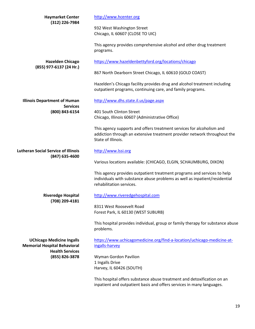| <b>Haymarket Center</b><br>(312) 226-7984                                                         | http://www.hcenter.org                                                                                                                                                            |
|---------------------------------------------------------------------------------------------------|-----------------------------------------------------------------------------------------------------------------------------------------------------------------------------------|
|                                                                                                   | 932 West Washington Street<br>Chicago, IL 60607 (CLOSE TO UIC)                                                                                                                    |
|                                                                                                   | This agency provides comprehensive alcohol and other drug treatment<br>programs.                                                                                                  |
| <b>Hazelden Chicago</b>                                                                           | https://www.hazeldenbettyford.org/locations/chicago                                                                                                                               |
| (855) 977-6137 (24 Hr.)                                                                           | 867 North Dearborn Street Chicago, IL 60610 (GOLD COAST)                                                                                                                          |
|                                                                                                   | Hazelden's Chicago facility provides drug and alcohol treatment including<br>outpatient programs, continuing care, and family programs.                                           |
| <b>Illinois Department of Human</b><br><b>Services</b>                                            | http://www.dhs.state.il.us/page.aspx                                                                                                                                              |
| (800) 843-6154                                                                                    | 401 South Clinton Street<br>Chicago, Illinois 60607 (Administrative Office)                                                                                                       |
|                                                                                                   | This agency supports and offers treatment services for alcoholism and<br>addiction through an extensive treatment provider network throughout the<br>State of Illinois.           |
| <b>Lutheran Social Service of Illinois</b><br>(847) 635-4600                                      | http://www.lssi.org                                                                                                                                                               |
|                                                                                                   | Various locations available: (CHICAGO, ELGIN, SCHAUMBURG, DIXON)                                                                                                                  |
|                                                                                                   | This agency provides outpatient treatment programs and services to help<br>individuals with substance abuse problems as well as inpatient/residential<br>rehabilitation services. |
| <b>Riveredge Hospital</b>                                                                         | http://www.riveredgehospital.com                                                                                                                                                  |
| (708) 209-4181                                                                                    | 8311 West Roosevelt Road<br>Forest Park, IL 60130 (WEST SUBURB)                                                                                                                   |
|                                                                                                   | This hospital provides individual, group or family therapy for substance abuse<br>problems.                                                                                       |
| <b>UChicago Medicine Ingalls</b><br><b>Memorial Hospital Behavioral</b><br><b>Health Services</b> | https://www.uchicagomedicine.org/find-a-location/uchicago-medicine-at-<br>ingalls-harvey                                                                                          |
| (855) 826-3878                                                                                    | Wyman Gordon Pavilion<br>1 Ingalls Drive<br>Harvey, IL 60426 (SOUTH)                                                                                                              |
|                                                                                                   | This hospital offers substance abuse treatment and detoxification on an<br>inpatient and outpatient basis and offers services in many languages.                                  |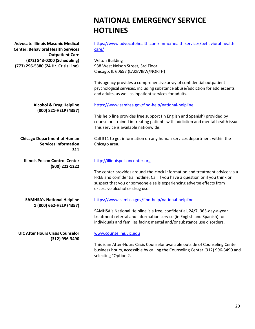# **NATIONAL EMERGENCY SERVICE HOTLINES**

| <b>Advocate Illinois Masonic Medical</b><br><b>Center: Behavioral Health Services</b>        | https://www.advocatehealth.com/immc/health-services/behavioral-health-<br>care/                                                                                                                                                                                         |
|----------------------------------------------------------------------------------------------|-------------------------------------------------------------------------------------------------------------------------------------------------------------------------------------------------------------------------------------------------------------------------|
| <b>Outpatient Care</b><br>(872) 843-0200 (Scheduling)<br>(773) 296-5380 (24 Hr. Crisis Line) | <b>Wilton Building</b><br>938 West Nelson Street, 3rd Floor<br>Chicago, IL 60657 (LAKEVIEW/NORTH)                                                                                                                                                                       |
|                                                                                              | This agency provides a comprehensive array of confidential outpatient<br>psychological services, including substance abuse/addiction for adolescents<br>and adults, as well as inpatient services for adults.                                                           |
| <b>Alcohol &amp; Drug Helpline</b>                                                           | https://www.samhsa.gov/find-help/national-helpline                                                                                                                                                                                                                      |
| (800) 821-HELP (4357)                                                                        | This help line provides free support (in English and Spanish) provided by<br>counselors trained in treating patients with addiction and mental health issues.<br>This service is available nationwide.                                                                  |
| <b>Chicago Department of Human</b><br><b>Services Information</b><br>311                     | Call 311 to get information on any human services department within the<br>Chicago area.                                                                                                                                                                                |
| <b>Illinois Poison Control Center</b>                                                        | http://illinoispoisoncenter.org                                                                                                                                                                                                                                         |
| (800) 222-1222                                                                               | The center provides around-the-clock information and treatment advice via a<br>FREE and confidential hotline. Call if you have a question or if you think or<br>suspect that you or someone else is experiencing adverse effects from<br>excessive alcohol or drug use. |
| <b>SAMHSA's National Helpline</b>                                                            | https://www.samhsa.gov/find-help/national-helpline                                                                                                                                                                                                                      |
| 1 (800) 662-HELP (4357)                                                                      | SAMHSA's National Helpline is a free, confidential, 24/7, 365-day-a-year<br>treatment referral and information service (in English and Spanish) for<br>individuals and families facing mental and/or substance use disorders.                                           |
| <b>UIC After Hours Crisis Counselor</b>                                                      | www.counseling.uic.edu                                                                                                                                                                                                                                                  |
| (312) 996-3490                                                                               | This is an After-Hours Crisis Counselor available outside of Counseling Center<br>business hours, accessible by calling the Counseling Center (312) 996-3490 and<br>selecting "Option 2.                                                                                |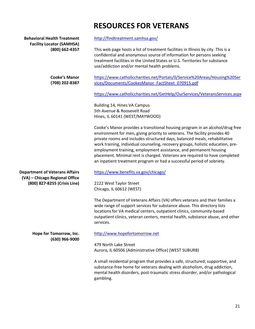# **RESOURCES FOR VETERANS**

| <b>Behavioral Health Treatment</b><br><b>Facility Locator (SAMHSA)</b><br>(800) 662-4357 | http://findtreatment.samhsa.gov/                                                                                                                                                                                                                                                                                                                                                                                                                                                                                                                           |
|------------------------------------------------------------------------------------------|------------------------------------------------------------------------------------------------------------------------------------------------------------------------------------------------------------------------------------------------------------------------------------------------------------------------------------------------------------------------------------------------------------------------------------------------------------------------------------------------------------------------------------------------------------|
|                                                                                          | This web page hosts a list of treatment facilities in Illinois by city. This is a<br>confidential and anonymous source of information for persons seeking<br>treatment facilities in the United States or U.S. Territories for substance<br>use/addiction and/or mental health problems.                                                                                                                                                                                                                                                                   |
| <b>Cooke's Manor</b><br>(708) 202-8387                                                   | https://www.catholiccharities.net/Portals/0/Service%20Areas/Housing%20Ser<br>vices/Documents/CookesManor FactSheet 070915.pdf                                                                                                                                                                                                                                                                                                                                                                                                                              |
|                                                                                          | https://www.catholiccharities.net/GetHelp/OurServices/VeteransServices.aspx                                                                                                                                                                                                                                                                                                                                                                                                                                                                                |
|                                                                                          | Building 14, Hines VA Campus<br>5th Avenue & Roosevelt Road<br>Hines, IL 60141 (WEST/MAYWOOD)                                                                                                                                                                                                                                                                                                                                                                                                                                                              |
|                                                                                          | Cooke's Manor provides a transitional housing program in an alcohol/drug free<br>environment for men, giving priority to veterans. The facility provides 40<br>private rooms and includes structured days, balanced meals, rehabilitative<br>work training, individual counseling, recovery groups, holistic education, pre-<br>employment training, employment assistance, and permanent housing<br>placement. Minimal rent is charged. Veterans are required to have completed<br>an inpatient treatment program or had a successful period of sobriety. |
| <b>Department of Veterans Affairs</b>                                                    | https://www.benefits.va.gov/chicago/                                                                                                                                                                                                                                                                                                                                                                                                                                                                                                                       |
| (VA) - Chicago Regional Office<br>(800) 827-8255 (Crisis Line)                           | 2122 West Taylor Street<br>Chicago, IL 60612 (WEST)                                                                                                                                                                                                                                                                                                                                                                                                                                                                                                        |
|                                                                                          | The Department of Veterans Affairs (VA) offers veterans and their families a<br>wide range of support services for substance abuse. This directory lists<br>locations for VA medical centers, outpatient clinics, community-based<br>outpatient clinics, veteran centers, mental health, substance abuse, and other<br>services.                                                                                                                                                                                                                           |
| Hope for Tomorrow, Inc.                                                                  | http://www.hopefortomorrow.net                                                                                                                                                                                                                                                                                                                                                                                                                                                                                                                             |
| (630) 966-9000                                                                           | 479 North Lake Street<br>Aurora, IL 60506 (Administrative Office) (WEST SUBURB)                                                                                                                                                                                                                                                                                                                                                                                                                                                                            |
|                                                                                          | A small residential program that provides a safe, structured, supportive, and<br>substance-free home for veterans dealing with alcoholism, drug addiction,<br>mental health disorders, post-traumatic stress disorder, and/or pathological<br>gambling.                                                                                                                                                                                                                                                                                                    |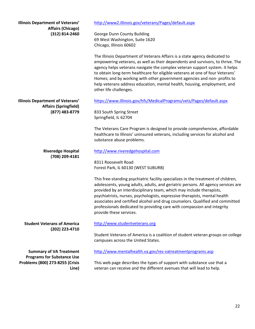| <b>Illinois Department of Veterans'</b>                                       | http://www2.illinois.gov/veterans/Pages/default.aspx                                                                                                                                                                                                                                                                                                                                                                                                                                                                |
|-------------------------------------------------------------------------------|---------------------------------------------------------------------------------------------------------------------------------------------------------------------------------------------------------------------------------------------------------------------------------------------------------------------------------------------------------------------------------------------------------------------------------------------------------------------------------------------------------------------|
| <b>Affairs (Chicago)</b><br>(312) 814-2460                                    | George Dunn County Building<br>69 West Washington, Suite 1620<br>Chicago, Illinois 60602                                                                                                                                                                                                                                                                                                                                                                                                                            |
|                                                                               | The Illinois Department of Veterans Affairs is a state agency dedicated to<br>empowering veterans, as well as their dependents and survivors, to thrive. The<br>agency helps veterans navigate the complex veteran support system. It helps<br>to obtain long-term healthcare for eligible veterans at one of four Veterans'<br>Homes; and by working with other government agencies and non- profits to<br>help veterans address education, mental health, housing, employment, and<br>other life challenges.      |
| <b>Illinois Department of Veterans'</b><br><b>Affairs (Springfield)</b>       | https://www.illinois.gov/hfs/MedicalPrograms/vets/Pages/default.aspx                                                                                                                                                                                                                                                                                                                                                                                                                                                |
| (877) 483-8779                                                                | 833 South Spring Street<br>Springfield, IL 62704                                                                                                                                                                                                                                                                                                                                                                                                                                                                    |
|                                                                               | The Veterans Care Program is designed to provide comprehensive, affordable<br>healthcare to Illinois' uninsured veterans, including services for alcohol and<br>substance abuse problems.                                                                                                                                                                                                                                                                                                                           |
| <b>Riveredge Hospital</b><br>(708) 209-4181                                   | http://www.riveredgehospital.com                                                                                                                                                                                                                                                                                                                                                                                                                                                                                    |
|                                                                               | 8311 Roosevelt Road<br>Forest Park, IL 60130 (WEST SUBURB)                                                                                                                                                                                                                                                                                                                                                                                                                                                          |
|                                                                               | This free-standing psychiatric facility specializes in the treatment of children,<br>adolescents, young adults, adults, and geriatric persons. All agency services are<br>provided by an interdisciplinary team, which may include therapists,<br>psychiatrists, nurses, psychologists, expressive therapists, mental health<br>associates and certified alcohol and drug counselors. Qualified and committed<br>professionals dedicated to providing care with compassion and integrity<br>provide these services. |
| <b>Student Veterans of America</b><br>(202) 223-4710                          | http://www.studentveterans.org                                                                                                                                                                                                                                                                                                                                                                                                                                                                                      |
|                                                                               | Student Veterans of America is a coalition of student veteran groups on college<br>campuses across the United States.                                                                                                                                                                                                                                                                                                                                                                                               |
| <b>Summary of VA Treatment</b>                                                | http://www.mentalhealth.va.gov/res-vatreatmentprograms.asp                                                                                                                                                                                                                                                                                                                                                                                                                                                          |
| <b>Programs for Substance Use</b><br>Problems (800) 273-8255 (Crisis<br>Line) | This web page describes the types of support with substance use that a<br>veteran can receive and the different avenues that will lead to help.                                                                                                                                                                                                                                                                                                                                                                     |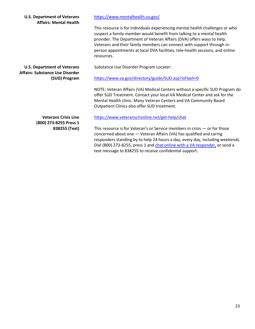| <b>U.S. Department of Veterans</b><br><b>Affairs: Mental Health</b>          | https://www.mentalhealth.va.gov/                                                                                                                                                                                                                                                                                                                                                                          |
|------------------------------------------------------------------------------|-----------------------------------------------------------------------------------------------------------------------------------------------------------------------------------------------------------------------------------------------------------------------------------------------------------------------------------------------------------------------------------------------------------|
|                                                                              | This resource is for individuals experiencing mental health challenges or who<br>suspect a family member would benefit from talking to a mental health<br>provider. The Department of Veteran Affairs (DVA) offers ways to help.<br>Veterans and their family members can connect with support through in-<br>person appointments at local DVA facilities, tele-health sessions, and online<br>resources. |
| <b>U.S. Department of Veterans</b><br><b>Affairs: Substance Use Disorder</b> | Substance Use Disorder Program Locater:                                                                                                                                                                                                                                                                                                                                                                   |
| (SUD) Program                                                                | https://www.va.gov/directory/guide/SUD.asp?isFlash=0                                                                                                                                                                                                                                                                                                                                                      |
|                                                                              | NOTE: Veteran Affairs (VA) Medical Centers without a specific SUD Program do<br>offer SUD Treatment. Contact your local VA Medical Center and ask for the<br>Mental Health clinic. Many Veteran Centers and VA Community Based<br>Outpatient Clinics also offer SUD treatment.                                                                                                                            |
| <b>Veterans Crisis Line</b><br>(800) 273-8255 Press 1                        | https://www.veteranscrisisline.net/get-help/chat                                                                                                                                                                                                                                                                                                                                                          |
| 838255 (Text)                                                                | This resource is for Veteran's or Service members in crisis $-$ or for those<br>concerned about one - Veteran Affairs (VA) has qualified and caring<br>responders standing by to help 24 hours a day, every day, including weekends.<br>Dial (800) 273-8255, press 1 and chat online with a VA responder, or send a                                                                                       |

text message to 838255 to receive confidential support.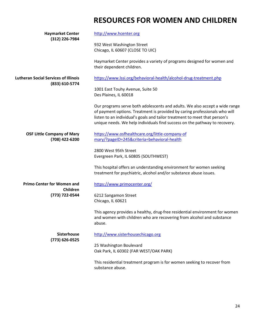# **RESOURCES FOR WOMEN AND CHILDREN**

| <b>Haymarket Center</b><br>(312) 226-7984           | http://www.hcenter.org                                                                                                                                                                                                                                                                                                |
|-----------------------------------------------------|-----------------------------------------------------------------------------------------------------------------------------------------------------------------------------------------------------------------------------------------------------------------------------------------------------------------------|
|                                                     | 932 West Washington Street<br>Chicago, IL 60607 (CLOSE TO UIC)                                                                                                                                                                                                                                                        |
|                                                     | Haymarket Center provides a variety of programs designed for women and<br>their dependent children.                                                                                                                                                                                                                   |
| <b>Lutheran Social Services of Illinois</b>         | https://www.lssi.org/behavioral-health/alcohol-drug-treatment.php                                                                                                                                                                                                                                                     |
| (833) 610-5774                                      | 1001 East Touhy Avenue, Suite 50<br>Des Plaines, IL 60018                                                                                                                                                                                                                                                             |
|                                                     | Our programs serve both adolescents and adults. We also accept a wide range<br>of payment options. Treatment is provided by caring professionals who will<br>listen to an individual's goals and tailor treatment to meet that person's<br>unique needs. We help individuals find success on the pathway to recovery. |
| <b>OSF Little Company of Mary</b><br>(708) 422-6200 | https://www.osfhealthcare.org/little-company-of<br>mary/?pageID=245&criteria=behavioral-health                                                                                                                                                                                                                        |
|                                                     | 2800 West 95th Street<br>Evergreen Park, IL 60805 (SOUTHWEST)                                                                                                                                                                                                                                                         |
|                                                     | This hospital offers an understanding environment for women seeking<br>treatment for psychiatric, alcohol and/or substance abuse issues.                                                                                                                                                                              |
| <b>Primo Center for Women and</b>                   | https://www.primocenter.org/                                                                                                                                                                                                                                                                                          |
| Children<br>(773) 722-0544                          | 6212 Sangamon Street<br>Chicago, IL 60621                                                                                                                                                                                                                                                                             |
|                                                     | This agency provides a healthy, drug-free residential environment for women<br>and women with children who are recovering from alcohol and substance<br>abuse.                                                                                                                                                        |
| Sisterhouse                                         | http://www.sisterhousechicago.org                                                                                                                                                                                                                                                                                     |
| (773) 626-0525                                      | 25 Washington Boulevard<br>Oak Park, IL 60302 (FAR WEST/OAK PARK)                                                                                                                                                                                                                                                     |
|                                                     | This residential treatment program is for women seeking to recover from<br>substance abuse.                                                                                                                                                                                                                           |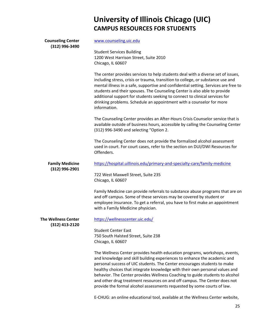# **University of Illinois Chicago (UIC) CAMPUS RESOURCES FOR STUDENTS**

### **Counseling Center (312) 996-3490**

[www.counseling.uic.edu](http://www.counseling.uic.edu/)

Student Services Building 1200 West Harrison Street, Suite 2010 Chicago, IL 60607

The center provides services to help students deal with a diverse set of issues, including stress, crisis or trauma, transition to college, or substance use and mental illness in a safe, supportive and confidential setting. Services are free to students and their spouses. The Counseling Center is also able to provide additional support for students seeking to connect to clinical services for drinking problems. Schedule an appointment with a counselor for more information.

The Counseling Center provides an After-Hours Crisis Counselor service that is available outside of business hours, accessible by calling the Counseling Center (312) 996-3490 and selecting "Option 2.

The Counseling Center does not provide the formalized alcohol assessment used in court. For court cases, refer to the section on DUI/DWI Resources for Offenders.

**Family Medicine** <https://hospital.uillinois.edu/primary-and-specialty-care/family-medicine>

> 722 West Maxwell Street, Suite 235 Chicago, IL 60607

Family Medicine can provide referrals to substance abuse programs that are on and off campus. Some of these services may be covered by student or employee insurance. To get a referral, you have to first make an appointment with a Family Medicine physician.

**The Wellness Center (312) 413-2120**

**(312) 996-2901**

Student Center East

<https://wellnesscenter.uic.edu/>

750 South Halsted Street, Suite 238 Chicago, IL 60607

The Wellness Center provides health education programs, workshops, events, and knowledge and skill building experiences to enhance the academic and personal success of UIC students. The Center encourages students to make healthy choices that integrate knowledge with their own personal values and behavior. The Center provides Wellness Coaching to guide students to alcohol and other drug treatment resources on and off campus. The Center does not provide the formal alcohol assessments requested by some courts of law.

E-CHUG: an online educational tool, available at the Wellness Center website,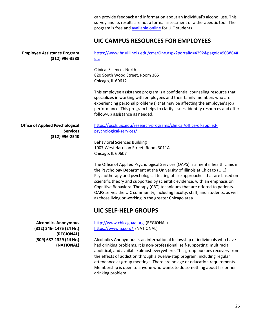can provide feedback and information about an individual's alcohol use. This survey and its results are not a formal assessment or a therapeutic tool. The program is free and **available online** for UIC students.

attendance at group meetings. There are no age or education requirements. Membership is open to anyone who wants to do something about his or her

### **UIC CAMPUS RESOURCES FOR EMPLOYEES**

| <b>Employee Assistance Program</b><br>(312) 996-3588                        | https://www.hr.uillinois.edu/cms/One.aspx?portalId=4292&pageId=903864#<br>uic                                                                                                                                                                                                                                                                                                                                                                                                                                                                           |
|-----------------------------------------------------------------------------|---------------------------------------------------------------------------------------------------------------------------------------------------------------------------------------------------------------------------------------------------------------------------------------------------------------------------------------------------------------------------------------------------------------------------------------------------------------------------------------------------------------------------------------------------------|
|                                                                             | <b>Clinical Sciences North</b><br>820 South Wood Street, Room 365<br>Chicago, IL 60612                                                                                                                                                                                                                                                                                                                                                                                                                                                                  |
|                                                                             | This employee assistance program is a confidential counseling resource that<br>specializes in working with employees and their family members who are<br>experiencing personal problem(s) that may be affecting the employee's job<br>performance. This program helps to clarify issues, identify resources and offer<br>follow-up assistance as needed.                                                                                                                                                                                                |
| <b>Office of Applied Psychological</b><br><b>Services</b><br>(312) 996-2540 | https://psch.uic.edu/research-programs/clinical/office-of-applied-<br>psychological-services/                                                                                                                                                                                                                                                                                                                                                                                                                                                           |
|                                                                             | <b>Behavioral Sciences Building</b><br>1007 West Harrison Street, Room 3011A<br>Chicago, IL 60607                                                                                                                                                                                                                                                                                                                                                                                                                                                       |
|                                                                             | The Office of Applied Psychological Services (OAPS) is a mental health clinic in<br>the Psychology Department at the University of Illinois at Chicago (UIC).<br>Psychotherapy and psychological testing utilize approaches that are based on<br>scientific theory and supported by scientific evidence, with an emphasis on<br>Cognitive Behavioral Therapy (CBT) techniques that are offered to patients.<br>OAPS serves the UIC community, including faculty, staff, and students, as well<br>as those living or working in the greater Chicago area |
|                                                                             | <b>UIC SELF-HELP GROUPS</b>                                                                                                                                                                                                                                                                                                                                                                                                                                                                                                                             |
| <b>Alcoholics Anonymous</b><br>(312) 346-1475 (24 Hr.)<br>(REGIONAL)        | http://www.chicagoaa.org (REGIONAL)<br>https://www.aa.org/ (NATIONAL)                                                                                                                                                                                                                                                                                                                                                                                                                                                                                   |
| (309) 687-1329 (24 Hr.)<br>(NATIONAL)                                       | Alcoholics Anonymous is an international fellowship of individuals who have<br>had drinking problems. It is non-professional, self-supporting, multiracial,<br>apolitical, and available almost everywhere. This group pursues recovery from<br>the effects of addiction through a twelve-step program, including regular                                                                                                                                                                                                                               |

drinking problem.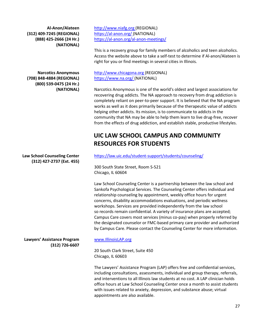**Al-Anon/Alateen (312) 409-7245 (REGIONAL) (888) 425-2666 (24 Hr.) (NATIONAL)**

**Narcotics Anonymous (708) 848-4884 (REGIONAL) (800) 539-0475 (24 Hr.) (NATIONAL)**

**Law School Counseling Center (312) 427-2737 (Ext. 455)**

**Lawyers' Assistance Program (312) 726-6607** http://www.niafg.org (REGIONAL) [https://al-anon.org/ \(](https://al-anon.org/)NATIONAL) <https://al-anon.org/al-anon-meetings/>

This is a recovery group for family members of alcoholics and teen alcoholics. Access the website above to take a self-test to determine if Al-anon/Alateen is right for you or find meetings in several cities in Illinois.

http://www.chicagona.org (REGIONAL) [https://www.na.org/ \(](https://www.na.org/)NATIONAL)

Narcotics Anonymous is one of the world's oldest and largest associations for recovering drug addicts. The NA approach to recovery from drug addiction is completely reliant on peer-to-peer support. It is believed that the NA program works as well as it does primarily because of the therapeutic value of addicts helping other addicts. Its mission, is to communicate to addicts in the community that NA may be able to help them learn to live drug-free, recover from the effects of drug addiction, and establish stable, productive lifestyles.

## **UIC LAW SCHOOL CAMPUS AND COMMUNITY RESOURCES FOR STUDENTS**

<https://law.uic.edu/student-support/students/counseling/>

300 South State Street, Room S-521 Chicago, IL 60604

Law School Counseling Center is a partnership between the law school and Sankofa Psychological Services. The Counseling Center offers individual and relationship counseling by appointment, weekly office hours for urgent concerns, disability accommodations evaluations, and periodic wellness workshops. Services are provided independently from the law school so records remain confidential. A variety of insurance plans are accepted; Campus Care covers most services (minus co-pay) when properly referred by the designated counselor or FMC-based primary care provider and authorized by Campus Care. Please contact the Counseling Center for more information.

### [www.IllinoisLAP.org](http://www.illinoislap.org/)

20 South Clark Street, Suite 450 Chicago, IL 60603

The Lawyers' Assistance Program (LAP) offers free and confidential services, including consultations, assessments, individual and group therapy, referrals, and interventions to all Illinois law students at no cost. A LAP clinician holds office hours at Law School Counseling Center once a month to assist students with issues related to anxiety, depression, and substance abuse; virtual appointments are also available.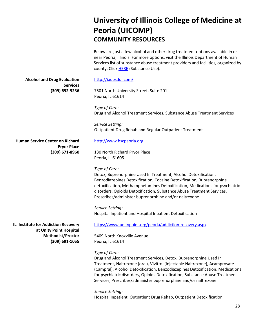# **University of Illinois College of Medicine at Peoria (UICOMP) COMMUNITY RESOURCES**

Below are just a few alcohol and other drug treatment options available in or near Peoria, Illinois. For more options, visit the Illinois Department of Human Services list of substance abuse treatment providers and facilities, organized by county. Click [HERE](https://www.dhs.state.il.us/page.aspx?item=29725) (Substance Use).

**Alcohol and Drug Evaluation Services (309) 692-9236**

<http://iadesdui.com/>

7501 North University Street, Suite 201 Peoria, IL 61614

*Type of Care:* Drug and Alcohol Treatment Services, Substance Abuse Treatment Services

*Service Setting:* Outpatient Drug Rehab and Regular Outpatient Treatment

**Human Service Center on Richard Pryor Place (309) 671-8960**

[http://www.hscpeoria.org](http://www.hscpeoria.org/)

130 North Richard Pryor Place Peoria, IL 61605

### *Type of Care:*

Detox, Buprenorphine Used In Treatment, Alcohol Detoxification, Benzodiazepines Detoxification, Cocaine Detoxification, Buprenorphine detoxification, Methamphetamines Detoxification, Medications for psychiatric disorders, Opioids Detoxification, Substance Abuse Treatment Services, Prescribes/administer buprenorphine and/or naltrexone

*Service Setting:* Hospital Inpatient and Hospital Inpatient Detoxification

**IL. Institute for Addiction Recovery at Unity Point Hospital Methodist/Proctor (309) 691-1055** <https://www.unitypoint.org/peoria/addiction-recovery.aspx>

5409 North Knoxville Avenue Peoria, IL 61614

### *Type of Care:*

Drug and Alcohol Treatment Services, Detox, Buprenorphine Used In Treatment, Naltrexone (oral), Vivitrol (injectable Naltrexone), Acamprosate (Campral), Alcohol Detoxification, Benzodiazepines Detoxification, Medications for psychiatric disorders, Opioids Detoxification, Substance Abuse Treatment Services, Prescribes/administer buprenorphine and/or naltrexone

*Service Setting:* Hospital Inpatient, Outpatient Drug Rehab, Outpatient Detoxification,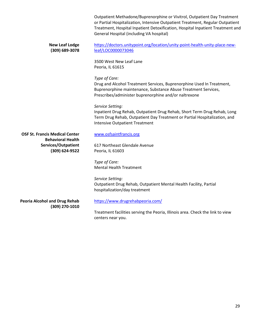|                                                                   | Outpatient Methadone/Buprenorphine or Vivitrol, Outpatient Day Treatment<br>or Partial Hospitalization, Intensive Outpatient Treatment, Regular Outpatient<br>Treatment, Hospital Inpatient Detoxification, Hospital Inpatient Treatment and<br>General Hospital (including VA hospital) |
|-------------------------------------------------------------------|------------------------------------------------------------------------------------------------------------------------------------------------------------------------------------------------------------------------------------------------------------------------------------------|
| <b>New Leaf Lodge</b><br>(309) 689-3078                           | https://doctors.unitypoint.org/location/unity-point-health-unity-place-new-<br>leaf/LOC0000073046                                                                                                                                                                                        |
|                                                                   | 3500 West New Leaf Lane<br>Peoria, IL 61615                                                                                                                                                                                                                                              |
|                                                                   | Type of Care:<br>Drug and Alcohol Treatment Services, Buprenorphine Used In Treatment,<br>Buprenorphine maintenance, Substance Abuse Treatment Services,<br>Prescribes/administer buprenorphine and/or naltrexone                                                                        |
|                                                                   | Service Setting:<br>Inpatient Drug Rehab, Outpatient Drug Rehab, Short Term Drug Rehab, Long<br>Term Drug Rehab, Outpatient Day Treatment or Partial Hospitalization, and<br><b>Intensive Outpatient Treatment</b>                                                                       |
| <b>OSF St. Francis Medical Center</b><br><b>Behavioral Health</b> | www.osfsaintfrancis.org                                                                                                                                                                                                                                                                  |
| Services/Outpatient<br>(309) 624-9522                             | 617 Northeast Glendale Avenue<br>Peoria, IL 61603                                                                                                                                                                                                                                        |
|                                                                   | Type of Care:<br><b>Mental Health Treatment</b>                                                                                                                                                                                                                                          |
|                                                                   | Service Setting:<br>Outpatient Drug Rehab, Outpatient Mental Health Facility, Partial<br>hospitalization/day treatment                                                                                                                                                                   |
| <b>Peoria Alcohol and Drug Rehab</b><br>(309) 270-1010            | https://www.drugrehabpeoria.com/                                                                                                                                                                                                                                                         |
|                                                                   | Treatment facilities serving the Peoria, Illinois area. Check the link to view                                                                                                                                                                                                           |

ng the Peoria, centers near you.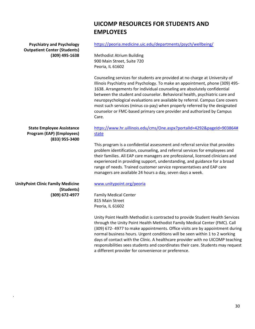### **UICOMP RESOURCES FOR STUDENTS AND EMPLOYEES**

**Psychiatry and Psychology Outpatient Center (Students) (309) 495-1638**

#### <https://peoria.medicine.uic.edu/departments/psych/wellbeing/>

Methodist Atrium Building 900 Main Street, Suite 720 Peoria, IL 61602

Counseling services for students are provided at no charge at University of Illinois Psychiatry and Psychology. To make an appointment, phone (309) 495- 1638. Arrangements for individual counseling are absolutely confidential between the student and counselor. Behavioral health, psychiatric care and neuropsychological evaluations are available by referral. Campus Care covers most such services (minus co-pay) when properly referred by the designated counselor or FMC-based primary care provider and authorized by Campus Care.

**State Employee Assistance Program (EAP) (Employees) (833) 955-3400**

### [https://www.hr.uillinois.edu/cms/One.aspx?portalId=4292&pageId=903864#](https://www.hr.uillinois.edu/cms/One.aspx?portalId=4292&pageId=903864) [state](https://www.hr.uillinois.edu/cms/One.aspx?portalId=4292&pageId=903864&state)

This program is a confidential assessment and referral service that provides problem identification, counseling, and referral services for employees and their families. All EAP care managers are professional, licensed clinicians and experienced in providing support, understanding, and guidance for a broad range of needs. Trained customer service representatives and EAP care managers are available 24 hours a day, seven days a week.

### [www.unitypoint.org/peoria](http://www.unitypoint.org/peoria)

Family Medical Center 815 Main Street Peoria, IL 61602

Unity Point Health Methodist is contracted to provide Student Health Services through the Unity Point Health Methodist Family Medical Center (FMC). Call (309) 672- 4977 to make appointments. Office visits are by appointment during normal business hours. Urgent conditions will be seen within 1 to 2 working days of contact with the Clinic. A healthcare provider with no UICOMP teaching responsibilities sees students and coordinates their care. Students may request a different provider for convenience or preference.

**UnityPoint Clinic Family Medicine (Students) (309) 672-4977**

.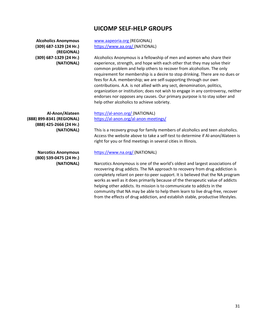### **UICOMP SELF-HELP GROUPS**

**Alcoholics Anonymous (309) 687-1329 (24 Hr.) (REGIONAL) (309) 687-1329 (24 Hr.) (NATIONAL)**

**Al-Anon/Alateen (888) 899-8341 (REGIONAL) (888) 425-2666 (24 Hr.) (NATIONAL)**

> **Narcotics Anonymous (800) 539-0475 (24 Hr.) (NATIONAL)**

www.aapeoria.org (REGIONAL) [https://www.aa.org/ \(](https://www.aa.org/)NATIONAL)

Alcoholics Anonymous is a fellowship of men and women who share their experience, strength, and hope with each other that they may solve their common problem and help others to recover from alcoholism. The only requirement for membership is a desire to stop drinking. There are no dues or fees for A.A. membership; we are self-supporting through our own contributions. A.A. is not allied with any sect, denomination, politics, organization or institution; does not wish to engage in any controversy, neither endorses nor opposes any causes. Our primary purpose is to stay sober and help other alcoholics to achieve sobriety.

[https://al-anon.org/ \(](https://al-anon.org/)NATIONAL) <https://al-anon.org/al-anon-meetings/>

This is a recovery group for family members of alcoholics and teen alcoholics. Access the website above to take a self-test to determine if Al-anon/Alateen is right for you or find meetings in several cities in Illinois.

#### [https://www.na.org/ \(](https://www.na.org/)NATIONAL)

Narcotics Anonymous is one of the world's oldest and largest associations of recovering drug addicts. The NA approach to recovery from drug addiction is completely reliant on peer-to-peer support. It is believed that the NA program works as well as it does primarily because of the therapeutic value of addicts helping other addicts. Its mission is to communicate to addicts in the community that NA may be able to help them learn to live drug-free, recover from the effects of drug addiction, and establish stable, productive lifestyles.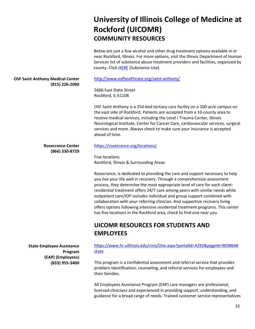# **University of Illinois College of Medicine at Rockford (UICOMR) COMMUNITY RESOURCES**

Below are just a few alcohol and other drug treatment options available in or near Rockford, Illinois. For more options, visit the Illinois Department of Human Services list of substance abuse treatment providers and facilities, organized by county. Click [HERE](https://www.dhs.state.il.us/page.aspx?item=29725) (Substance Use).

### **OSF Saint Anthony Medical Center (815) 226-2000**

<http://www.osfhealthcare.org/saint-anthony/>

5666 East State Street Rockford, IL 61108

OSF Saint Anthony is a 254-bed tertiary care facility on a 100-acre campus on the east side of Rockford. Patients are accepted from a 10-county area to receive medical services, including the Level I Trauma Center, Illinois Neurological Institute, Center for Cancer Care, cardiovascular services, surgical services and more. Always check to make sure your insurance is accepted ahead of time.

### **Rosecrance Center (866) 330-8729**

**State Employee Assistance Program (EAP) (Employees) (833) 955-3400** <https://rosecrance.org/locations/>

Five locations Rockford, Illinois & Surrounding Areas

Rosecrance, is dedicated to providing the care and support necessary to help you live your life well in recovery. Through a comprehensive assessment process, they determine the most appropriate level of care for each client: residential treatment offers 24/7 care among peers with similar needs while outpatient care/IOP includes individual and group support combined with collaboration with your referring clinician. And supportive recovery living offers options following intensive residential treatment programs. This center has five locations in the Rockford area, check to find one near you.

## **UICOMR RESOURCES FOR STUDENTS AND EMPLOYEES**

[https://www.hr.uillinois.edu/cms/One.aspx?portalId=4292&pageId=903864#](https://www.hr.uillinois.edu/cms/One.aspx?portalId=4292&pageId=903864) [state](https://www.hr.uillinois.edu/cms/One.aspx?portalId=4292&pageId=903864&state)

This program is a confidential assessment and referral service that provides problem identification, counseling, and referral services for employees and their families.

All Employees Assistance Program (EAP) care managers are professional, licensed clinicians and experienced in providing support, understanding, and guidance for a broad range of needs. Trained customer service representatives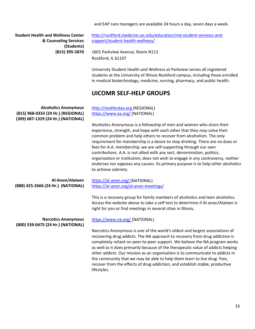and EAP care managers are available 24 hours a day, seven days a week.

**Student Health and Wellness Center & Counseling Services (Students) (815) 395-5870** [http://rockford.medicine.uic.edu/education/md-student-services-and](http://rockford.medicine.uic.edu/education/md-student-services-and-)[support/student-health-wellness/](http://rockford.medicine.uic.edu/education/md-student-services-and-support/student-health-wellness/)

1601 Parkview Avenue, Room N113 Rockford, IL 61107

University Student Health and Wellness at Parkview serves all registered students at the University of Illinois Rockford campus, including those enrolled in medical biotechnology, medicine, nursing, pharmacy, and public health.

the community that we may be able to help them learn to live drug- free, recover from the effects of drug addiction, and establish stable, productive

### **UICOMR SELF-HELP GROUPS**

**Alcoholics Anonymous (815) 968-0333 (24 Hr.) (REGIONAL) (309) 687-1329 (24 Hr.) (NATIONAL) Al-Anon/Alateen (888) 425-2666 (24 Hr.) (NATIONAL) Narcotics Anonymous (800) 539-0475 (24 Hr.) (NATIONAL)** [http://rockfordaa.org \(](http://rockfordaa.org/)REGIONAL) [https://www.aa.org/ \(](https://www.aa.org/)NATIONAL) Alcoholics Anonymous is a fellowship of men and women who share their experience, strength, and hope with each other that they may solve their common problem and help others to recover from alcoholism. The only requirement for membership is a desire to stop drinking. There are no dues or fees for A.A. membership; we are self-supporting through our own contributions. A.A. is not allied with any sect, denomination, politics, organization or institution; does not wish to engage in any controversy, neither endorses nor opposes any causes. Its primary purpose is to help other alcoholics to achieve sobriety. [https://al-anon.org/ \(](https://al-anon.org/)NATIONAL) <https://al-anon.org/al-anon-meetings/> This is a recovery group for family members of alcoholics and teen alcoholics. Access the website above to take a self-test to determine if Al-anon/Alateen is right for you or find meetings in several cities in Illinois. [https://www.na.org/ \(](https://www.na.org/)NATIONAL) Narcotics Anonymous is one of the world's oldest and largest associations of recovering drug addicts. The NA approach to recovery from drug addiction is completely reliant on peer-to-peer support. We believe the NA program works as well as it does primarily because of the therapeutic value of addicts helping other addicts. Our mission as an organization is to communicate to addicts in

lifestyles.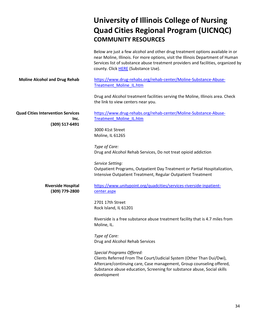# **University of Illinois College of Nursing Quad Cities Regional Program (UICNQC) COMMUNITY RESOURCES**

|                                                                    | Below are just a few alcohol and other drug treatment options available in or<br>near Moline, Illinois. For more options, visit the Illinois Department of Human<br>Services list of substance abuse treatment providers and facilities, organized by<br>county. Click HERE (Substance Use). |
|--------------------------------------------------------------------|----------------------------------------------------------------------------------------------------------------------------------------------------------------------------------------------------------------------------------------------------------------------------------------------|
| <b>Moline Alcohol and Drug Rehab</b>                               | https://www.drug-rehabs.org/rehab-center/Moline-Substance-Abuse-<br><b>Treatment Moline IL.htm</b>                                                                                                                                                                                           |
|                                                                    | Drug and Alcohol treatment facilities serving the Moline, Illinois area. Check<br>the link to view centers near you.                                                                                                                                                                         |
| <b>Quad Cities Intervention Services</b><br>Inc.<br>(309) 517-6491 | https://www.drug-rehabs.org/rehab-center/Moline-Substance-Abuse-<br><b>Treatment Moline IL.htm</b>                                                                                                                                                                                           |
|                                                                    | 3000 41st Street<br>Moline, IL 61265                                                                                                                                                                                                                                                         |
|                                                                    | Type of Care:<br>Drug and Alcohol Rehab Services, Do not treat opioid addiction                                                                                                                                                                                                              |
|                                                                    | Service Setting:<br>Outpatient Programs, Outpatient Day Treatment or Partial Hospitalization,<br>Intensive Outpatient Treatment, Regular Outpatient Treatment                                                                                                                                |
| <b>Riverside Hospital</b><br>(309) 779-2800                        | https://www.unitypoint.org/quadcities/services-riverside-inpatient-<br>center.aspx                                                                                                                                                                                                           |
|                                                                    | 2701 17th Street<br>Rock Island, IL 61201                                                                                                                                                                                                                                                    |
|                                                                    | Riverside is a free substance abuse treatment facility that is 4.7 miles from<br>Moline, IL.                                                                                                                                                                                                 |
|                                                                    | Type of Care:<br>Drug and Alcohol Rehab Services                                                                                                                                                                                                                                             |
|                                                                    | <b>Special Programs Offered:</b><br>Clients Referred From The Court/Judicial System (Other Than Dui/Dwi),<br>Aftercare/continuing care, Case management, Group counseling offered,<br>Substance abuse education, Screening for substance abuse, Social skills<br>development                 |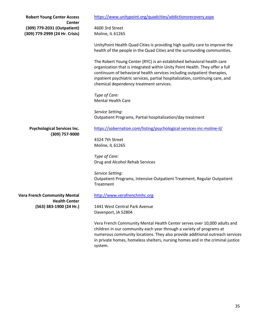| <b>Robert Young Center Access</b>                                              | https://www.unitypoint.org/quadcities/addictionsrecovery.aspx                                                                                                                                                                                                                                                                                                 |
|--------------------------------------------------------------------------------|---------------------------------------------------------------------------------------------------------------------------------------------------------------------------------------------------------------------------------------------------------------------------------------------------------------------------------------------------------------|
| <b>Center</b><br>(309) 779-2031 (Outpatient)<br>(309) 779-2999 (24 Hr. Crisis) | 4600 3rd Street<br>Moline, IL 61265                                                                                                                                                                                                                                                                                                                           |
|                                                                                | UnityPoint Health Quad Cities is providing high quality care to improve the<br>health of the people in the Quad Cities and the surrounding communities.                                                                                                                                                                                                       |
|                                                                                | The Robert Young Center (RYC) is an established behavioral health care<br>organization that is integrated within Unity Point Health. They offer a full<br>continuum of behavioral health services including outpatient therapies,<br>inpatient psychiatric services, partial hospitalization, continuing care, and<br>chemical dependency treatment services. |
|                                                                                | Type of Care:<br><b>Mental Health Care</b>                                                                                                                                                                                                                                                                                                                    |
|                                                                                | Service Setting:<br>Outpatient Programs, Partial hospitalization/day treatment                                                                                                                                                                                                                                                                                |
| <b>Psychological Services Inc.</b>                                             | https://sobernation.com/listing/psychological-services-inc-moline-il/                                                                                                                                                                                                                                                                                         |
| (309) 757-9000                                                                 | 4324 7th Street                                                                                                                                                                                                                                                                                                                                               |
|                                                                                | Moline, IL 61265                                                                                                                                                                                                                                                                                                                                              |
|                                                                                | Type of Care:                                                                                                                                                                                                                                                                                                                                                 |
|                                                                                | Drug and Alcohol Rehab Services                                                                                                                                                                                                                                                                                                                               |
|                                                                                | Service Setting:                                                                                                                                                                                                                                                                                                                                              |
|                                                                                | Outpatient Programs, Intensive Outpatient Treatment, Regular Outpatient                                                                                                                                                                                                                                                                                       |
|                                                                                | Treatment                                                                                                                                                                                                                                                                                                                                                     |
| <b>Vera French Community Mental</b><br><b>Health Center</b>                    | http://www.verafrenchmhc.org                                                                                                                                                                                                                                                                                                                                  |
| (563) 383-1900 (24 Hr.)                                                        | 1441 West Central Park Avenue                                                                                                                                                                                                                                                                                                                                 |
|                                                                                | Davenport, IA 52804                                                                                                                                                                                                                                                                                                                                           |
|                                                                                | Vera French Community Mental Health Center serves over 10,000 adults and<br>children in our community each year through a variety of programs at<br>numerous community locations. They also provide additional outreach services<br>in private homes, homeless shelters, nursing homes and in the criminal justice<br>system.                                 |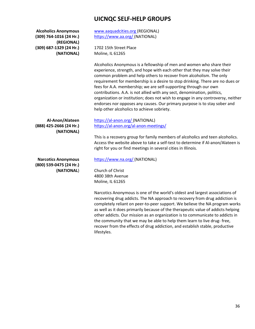### **UICNQC SELF-HELP GROUPS**

| <b>Alcoholics Anonymous</b><br>(309) 764-1016 (24 Hr.)<br>(REGIONAL) | www.aaquadcities.org (REGIONAL)<br>https://www.aa.org/ (NATIONAL)                                                                                                                                                                                                                                                                                                                                                                                                                                                                                                                                                                                                        |
|----------------------------------------------------------------------|--------------------------------------------------------------------------------------------------------------------------------------------------------------------------------------------------------------------------------------------------------------------------------------------------------------------------------------------------------------------------------------------------------------------------------------------------------------------------------------------------------------------------------------------------------------------------------------------------------------------------------------------------------------------------|
| (309) 687-1329 (24 Hr.)<br>(NATIONAL)                                | 1702 15th Street Place<br>Moline, IL 61265                                                                                                                                                                                                                                                                                                                                                                                                                                                                                                                                                                                                                               |
|                                                                      | Alcoholics Anonymous is a fellowship of men and women who share their<br>experience, strength, and hope with each other that they may solve their<br>common problem and help others to recover from alcoholism. The only<br>requirement for membership is a desire to stop drinking. There are no dues or<br>fees for A.A. membership; we are self-supporting through our own<br>contributions. A.A. is not allied with any sect, denomination, politics,<br>organization or institution; does not wish to engage in any controversy, neither<br>endorses nor opposes any causes. Our primary purpose is to stay sober and<br>help other alcoholics to achieve sobriety. |
| Al-Anon/Alateen<br>(888) 425-2666 (24 Hr.)                           | https://al-anon.org/ (NATIONAL)<br>https://al-anon.org/al-anon-meetings/                                                                                                                                                                                                                                                                                                                                                                                                                                                                                                                                                                                                 |
| (NATIONAL)                                                           | This is a recovery group for family members of alcoholics and teen alcoholics.<br>Access the website above to take a self-test to determine if Al-anon/Alateen is<br>right for you or find meetings in several cities in Illinois.                                                                                                                                                                                                                                                                                                                                                                                                                                       |
| <b>Narcotics Anonymous</b><br>(800) 539-0475 (24 Hr.)                | https://www.na.org/ (NATIONAL)                                                                                                                                                                                                                                                                                                                                                                                                                                                                                                                                                                                                                                           |
| (NATIONAL)                                                           | Church of Christ<br>4800 38th Avenue<br>Moline, IL 61265                                                                                                                                                                                                                                                                                                                                                                                                                                                                                                                                                                                                                 |
|                                                                      | Narcotics Anonymous is one of the world's oldest and largest associations of<br>recovering drug addicts. The NA approach to recovery from drug addiction is<br>completely reliant on peer-to-peer support. We believe the NA program works<br>as well as it does primarily because of the therapeutic value of addicts helping                                                                                                                                                                                                                                                                                                                                           |

other addicts. Our mission as an organization is to communicate to addicts in the community that we may be able to help them learn to live drug- free, recover from the effects of drug addiction, and establish stable, productive lifestyles.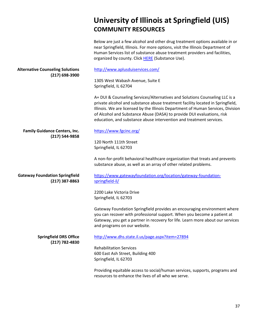### **COMMUNITY RESOURCES** Below are just a few alcohol and other drug treatment options available in or near Springfield, Illinois. For more options, visit the Illinois Department of Human Services list of substance abuse treatment providers and facilities, organized by county. Click [HERE](https://www.dhs.state.il.us/page.aspx?item=29725) (Substance Use). **Alternative Counseling Solutions (217) 698-3900 Family Guidance Centers, Inc. (217) 544-9858** <http://www.aplusduiservices.com/> 1305 West Wabash Avenue, Suite E Springfield, IL 62704 A+ DUI & Counseling Services/Alternatives and Solutions Counseling LLC is a private alcohol and substance abuse treatment facility located in Springfield, Illinois. We are licensed by the Illinois Department of Human Services, Division of Alcohol and Substance Abuse (DASA) to provide DUI evaluations, risk education, and substance abuse intervention and treatment services. <https://www.fgcinc.org/> 120 North 111th Street Springfield, IL 62703 A non-for-profit behavioral healthcare organization that treats and prevents substance abuse, as well as an array of other related problems. **Gateway Foundation Springfield (217) 387-8863** [https://www.gatewayfoundation.org/location/gateway-foundation](https://www.gatewayfoundation.org/location/gateway-foundation-springfield-il/)[springfield-il/](https://www.gatewayfoundation.org/location/gateway-foundation-springfield-il/) **Springfield DRS Office (217) 782-4830** 2200 Lake Victoria Drive Springfield, IL 62703 Gateway Foundation Springfield provides an encouraging environment where you can recover with professional support. When you become a patient at Gateway, you get a partner in recovery for life. Learn more about our services and programs on our website. <http://www.dhs.state.il.us/page.aspx?item=27894> Rehabilitation Services 600 East Ash Street, Building 400 Springfield, IL 62703 Providing equitable access to social/human services, supports, programs and resources to enhance the lives of all who we serve.

**University of Illinois at Springfield (UIS)**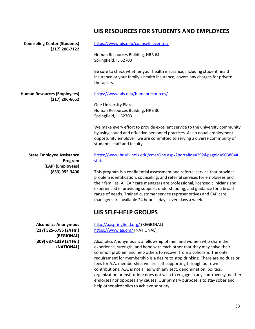### **UIS RESOURCES FOR STUDENTS AND EMPLOYEES**

| <b>Counseling Center (Students)</b>                                  | https://www.uis.edu/counselingcenter/                                                                                                                                                                                                                                                                                                                                                                                                                                                                                                                                                                                                                                    |
|----------------------------------------------------------------------|--------------------------------------------------------------------------------------------------------------------------------------------------------------------------------------------------------------------------------------------------------------------------------------------------------------------------------------------------------------------------------------------------------------------------------------------------------------------------------------------------------------------------------------------------------------------------------------------------------------------------------------------------------------------------|
| $(217)$ 206-7122                                                     | Human Resources Building, HRB 64<br>Springfield, IL 62703                                                                                                                                                                                                                                                                                                                                                                                                                                                                                                                                                                                                                |
|                                                                      | Be sure to check whether your health insurance, including student health<br>insurance or your family's health insurance, covers any charges for private<br>therapists.                                                                                                                                                                                                                                                                                                                                                                                                                                                                                                   |
| <b>Human Resources (Employees)</b><br>$(217)$ 206-6652               | https://www.uis.edu/humanresources/                                                                                                                                                                                                                                                                                                                                                                                                                                                                                                                                                                                                                                      |
|                                                                      | One University Plaza<br>Human Resources Building, HRB 30<br>Springfield, IL 62703                                                                                                                                                                                                                                                                                                                                                                                                                                                                                                                                                                                        |
|                                                                      | We make every effort to provide excellent service to the university community<br>by using sound and effective personnel practices. As an equal employment<br>opportunity employer, we are committed to serving a diverse community of<br>students, staff and faculty.                                                                                                                                                                                                                                                                                                                                                                                                    |
| <b>State Employee Assistance</b><br>Program                          | https://www.hr.uillinois.edu/cms/One.aspx?portalId=4292&pageId=903864#<br>state                                                                                                                                                                                                                                                                                                                                                                                                                                                                                                                                                                                          |
| (EAP) (Employees)<br>(833) 955-3400                                  | This program is a confidential assessment and referral service that provides<br>problem identification, counseling, and referral services for employees and<br>their families. All EAP care managers are professional, licensed clinicians and<br>experienced in providing support, understanding, and guidance for a broad<br>range of needs. Trained customer service representatives and EAP care<br>managers are available 24 hours a day, seven days a week.                                                                                                                                                                                                        |
|                                                                      | <b>UIS SELF-HELP GROUPS</b>                                                                                                                                                                                                                                                                                                                                                                                                                                                                                                                                                                                                                                              |
| <b>Alcoholics Anonymous</b><br>(217) 525-5795 (24 Hr.)<br>(REGIONAL) | http://aaspringfield.org/ (REGIONAL)<br>https://www.aa.org/ (NATIONAL)                                                                                                                                                                                                                                                                                                                                                                                                                                                                                                                                                                                                   |
| (309) 687-1329 (24 Hr.)<br>(NATIONAL)                                | Alcoholics Anonymous is a fellowship of men and women who share their<br>experience, strength, and hope with each other that they may solve their<br>common problem and help others to recover from alcoholism. The only<br>requirement for membership is a desire to stop drinking. There are no dues or<br>fees for A.A. membership; we are self-supporting through our own<br>contributions. A.A. is not allied with any sect, denomination, politics,<br>organization or institution; does not wish to engage in any controversy, neither<br>endorses nor opposes any causes. Our primary purpose is to stay sober and<br>help other alcoholics to achieve sobriety. |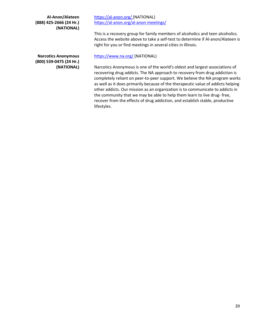**Al-Anon/Alateen (888) 425-2666 (24 Hr.) (NATIONAL)**

**Narcotics Anonymous (800) 539-0475 (24 Hr.) (NATIONAL)** [https://al-anon.org/ \(](https://al-anon.org/)NATIONAL) <https://al-anon.org/al-anon-meetings/>

This is a recovery group for family members of alcoholics and teen alcoholics. Access the website above to take a self-test to determine if Al-anon/Alateen is right for you or find meetings in several cities in Illinois.

### [https://www.na.org/ \(](https://www.na.org/)NATIONAL)

Narcotics Anonymous is one of the world's oldest and largest associations of recovering drug addicts. The NA approach to recovery from drug addiction is completely reliant on peer-to-peer support. We believe the NA program works as well as it does primarily because of the therapeutic value of addicts helping other addicts. Our mission as an organization is to communicate to addicts in the community that we may be able to help them learn to live drug- free, recover from the effects of drug addiction, and establish stable, productive lifestyles.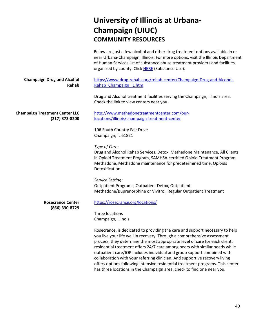# **University of Illinois at Urbana-Champaign (UIUC) COMMUNITY RESOURCES**

|                                                           | Below are just a few alcohol and other drug treatment options available in or<br>near Urbana-Champaign, Illinois. For more options, visit the Illinois Department<br>of Human Services list of substance abuse treatment providers and facilities,<br>organized by county. Click HERE (Substance Use).                                                                                                                                                                                                                                                                                                                                      |
|-----------------------------------------------------------|---------------------------------------------------------------------------------------------------------------------------------------------------------------------------------------------------------------------------------------------------------------------------------------------------------------------------------------------------------------------------------------------------------------------------------------------------------------------------------------------------------------------------------------------------------------------------------------------------------------------------------------------|
| <b>Champaign Drug and Alcohol</b><br>Rehab                | https://www.drug-rehabs.org/rehab-center/Champaign-Drug-and-Alcohol-<br>Rehab Champaign IL.htm                                                                                                                                                                                                                                                                                                                                                                                                                                                                                                                                              |
|                                                           | Drug and Alcohol treatment facilities serving the Champaign, Illinois area.<br>Check the link to view centers near you.                                                                                                                                                                                                                                                                                                                                                                                                                                                                                                                     |
| <b>Champaign Treatment Center LLC</b><br>$(217)$ 373-8200 | http://www.methadonetreatmentcenter.com/our-<br>locations/illinois/champaign-treatment-center                                                                                                                                                                                                                                                                                                                                                                                                                                                                                                                                               |
|                                                           | 106 South Country Fair Drive<br>Champaign, IL 61821                                                                                                                                                                                                                                                                                                                                                                                                                                                                                                                                                                                         |
|                                                           | Type of Care:<br>Drug and Alcohol Rehab Services, Detox, Methadone Maintenance, All Clients<br>in Opioid Treatment Program, SAMHSA-certified Opioid Treatment Program,<br>Methadone, Methadone maintenance for predetermined time, Opioids<br>Detoxification                                                                                                                                                                                                                                                                                                                                                                                |
|                                                           | Service Setting:<br>Outpatient Programs, Outpatient Detox, Outpatient<br>Methadone/Buprenorphine or Vivitrol, Regular Outpatient Treatment                                                                                                                                                                                                                                                                                                                                                                                                                                                                                                  |
| <b>Rosecrance Center</b>                                  | https://rosecrance.org/locations/                                                                                                                                                                                                                                                                                                                                                                                                                                                                                                                                                                                                           |
| (866) 330-8729                                            | Three locations<br>Champaign, Illinois                                                                                                                                                                                                                                                                                                                                                                                                                                                                                                                                                                                                      |
|                                                           | Rosecrance, is dedicated to providing the care and support necessary to help<br>you live your life well in recovery. Through a comprehensive assessment<br>process, they determine the most appropriate level of care for each client:<br>residential treatment offers 24/7 care among peers with similar needs while<br>outpatient care/IOP includes individual and group support combined with<br>collaboration with your referring clinician. And supportive recovery living<br>offers options following intensive residential treatment programs. This center<br>has three locations in the Champaign area, check to find one near you. |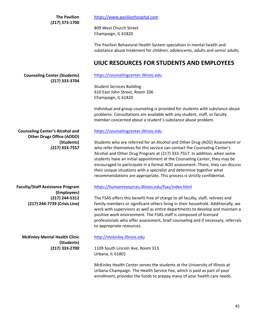**The Pavilion (217) 373-1700**

809 West Church Street Champaign, IL 61820

The Pavilion Behavioral Health System specializes in mental health and substance abuse treatment for children, adolescents, adults and senior adults.

### **UIUC RESOURCES FOR STUDENTS AND EMPLOYEES**

**Counseling Center (Students) (217) 333-3704** [https://counselingcenter.illinois.edu](https://counselingcenter.illinois.edu/)

Student Services Building 610 East John Street, Room 206 Champaign, IL 61820

Individual and group counseling is provided for students with substance abuse problems. Consultations are available with any student, staff, or faculty member concerned about a student's substance abuse problem.

**Counseling Center's Alcohol and Other Drugs Office (AODO) (Students) (217) 333-7557**

**Faculty/Staff Assistance Program (Employees) (217) 244-5312 (217) 244-7739 (Crisis Line)**

**McKinley Mental Health Clinic (Students) (217) 333-2700**

### [https://counselingcenter.illinois.edu](https://counselingcenter.illinois.edu/)

Students who are referred for an Alcohol and Other Drug (AOD) Assessment or who refer themselves for this service can contact the Counseling Center's Alcohol and Other Drug Program at (217) 333-7557. In addition, when some students have an initial appointment at the Counseling Center, they may be encouraged to participate in a formal AOD assessment. There, they can discuss their unique situations with a specialist and determine together what recommendations are appropriate. This process is strictly confidential.

### <https://humanresources.illinois.edu/fsas/index.html>

The FSAS offers this benefit free of charge to all faculty, staff, retirees and family members or significant others living in their household. Additionally, we work with supervisors as well as entire departments to develop and maintain a positive work environment. The FSAS staff is composed of licensed professionals who offer assessment, brief counseling and if necessary, referrals to appropriate resources.

### [http://mckinley.illinois.edu](http://mckinley.illinois.edu/)

1109 South Lincoln Ave, Room 313 Urbana, IL 61801

McKinley Health Center serves the students at the University of Illinois at Urbana-Champaign. The Health Service Fee, which is paid as part of your enrollment, provides the funds to prepay many of your health care needs.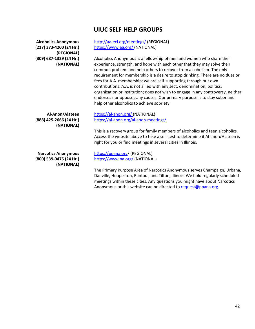## **UIUC SELF-HELP GROUPS**

| <b>Alcoholics Anonymous</b><br>(217) 373-4200 (24 Hr.)<br>(REGIONAL) | http://aa-eci.org/meetings/ (REGIONAL)<br>https://www.aa.org/ (NATIONAL)                                                                                                                                                                                                                                                                                                                                                                                                                                                                                                                                                                                                 |
|----------------------------------------------------------------------|--------------------------------------------------------------------------------------------------------------------------------------------------------------------------------------------------------------------------------------------------------------------------------------------------------------------------------------------------------------------------------------------------------------------------------------------------------------------------------------------------------------------------------------------------------------------------------------------------------------------------------------------------------------------------|
| (309) 687-1329 (24 Hr.)<br>(NATIONAL)                                | Alcoholics Anonymous is a fellowship of men and women who share their<br>experience, strength, and hope with each other that they may solve their<br>common problem and help others to recover from alcoholism. The only<br>requirement for membership is a desire to stop drinking. There are no dues or<br>fees for A.A. membership; we are self-supporting through our own<br>contributions. A.A. is not allied with any sect, denomination, politics,<br>organization or institution; does not wish to engage in any controversy, neither<br>endorses nor opposes any causes. Our primary purpose is to stay sober and<br>help other alcoholics to achieve sobriety. |
| Al-Anon/Alateen                                                      | https://al-anon.org/ (NATIONAL)                                                                                                                                                                                                                                                                                                                                                                                                                                                                                                                                                                                                                                          |
| (888) 425-2666 (24 Hr.)                                              | https://al-anon.org/al-anon-meetings/                                                                                                                                                                                                                                                                                                                                                                                                                                                                                                                                                                                                                                    |
| (NATIONAL)                                                           | This is a recovery group for family members of alcoholics and teen alcoholics.<br>Access the website above to take a self-test to determine if Al-anon/Alateen is<br>right for you or find meetings in several cities in Illinois.                                                                                                                                                                                                                                                                                                                                                                                                                                       |
| <b>Narcotics Anonymous</b>                                           | https://ppana.org/ (REGIONAL)                                                                                                                                                                                                                                                                                                                                                                                                                                                                                                                                                                                                                                            |
| (800) 539-0475 (24 Hr.)<br>(NATIONAL)                                | https://www.na.org/ (NATIONAL)                                                                                                                                                                                                                                                                                                                                                                                                                                                                                                                                                                                                                                           |
|                                                                      | The Primary Purpose Area of Narcotics Anonymous serves Champaign, Urbana,                                                                                                                                                                                                                                                                                                                                                                                                                                                                                                                                                                                                |
|                                                                      | Danville, Hoopeston, Rantoul, and Tilton, Illinois. We hold regularly scheduled<br>meetings within these cities. Any questions you might have about Narcotics                                                                                                                                                                                                                                                                                                                                                                                                                                                                                                            |
|                                                                      | Anonymous or this website can be directed to request@ppana.org.                                                                                                                                                                                                                                                                                                                                                                                                                                                                                                                                                                                                          |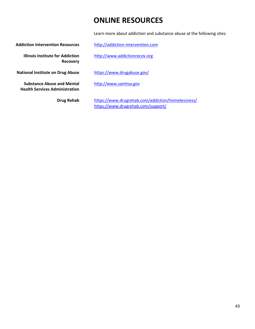# **ONLINE RESOURCES**

Learn more about addiction and substance abuse at the following sites:

Addiction Intervention Resources [http://addiction-intervention.com](http://addiction-intervention.com/)

**Illinois Institute for Addiction Recovery**

**National Institute on Drug Abuse** <https://www.drugabuse.gov/>

**Substance Abuse and Mental Health Services Administration**

**Drug Rehab**

[http://www.addictionrecov.org](http://www.addictionrecov.org/)

[http://www.samhsa.gov](http://www.samhsa.gov/)

<https://www.drugrehab.com/addiction/homelessness/> <https://www.drugrehab.com/support/>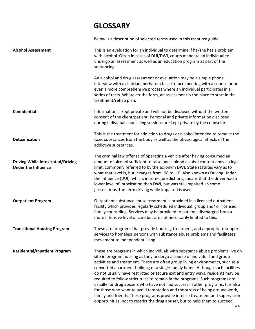# **GLOSSARY**

Below is a description of selected terms used in this resource guide **Alcohol Assessment Confidential Detoxification Driving While Intoxicated/Driving Under the Influence Outpatient Program Transitional Housing Program Residential/Inpatient Program** This is an evaluation for an individual to determine if he/she has a problem with alcohol. Often in cases of DUI/DWI, courts mandate an individual to undergo an assessment as well as an education program as part of the sentencing. An alcohol and drug assessment or evaluation may be a simple phone interview with a clinician, perhaps a face-to-face meeting with a counselor or even a more comprehensive process where an individual participates in a series of tests. Whatever the form, an assessment is the place to start in the treatment/rehab plan. Information is kept private and will not be disclosed without the written consent of the client/patient. Personal and private information disclosed during individual counseling sessions are kept private by the counselor. This is the treatment for addiction to drugs or alcohol intended to remove the toxic substances from the body as well as the physiological effects of the addictive substances. The criminal law offense of operating a vehicle after having consumed an amount of alcohol sufficient to raise one's blood alcohol content above a legal limit, commonly referred to by the acronym DWI. State statutes vary as to what that level is, but it ranges from .08 to .10. Also known as Driving Under the Influence (DUI), which, in some jurisdictions, means that the driver had a lower level of intoxication than DWI, but was still impaired. In some jurisdictions, the term driving while impaired is used. Outpatient substance abuse treatment is provided in a licensed outpatient facility which provides regularly scheduled individual, group and/ or licensed family counseling. Services may be provided to patients discharged from a more intensive level of care but are not necessarily limited to this. These are programs that provide housing, treatment, and appropriate support services to homeless persons with substance abuse problems and facilitates movement to independent living. These are programs in which individuals with substance abuse problems live on site in program housing as they undergo a course of individual and group activities and treatment. These are often group living environments, such as a converted apartment building or a single-family home. Although such facilities do not usually have restricted or secure exit and entry ways, residents may be required to follow strict rules to remain in the programs. Such programs are usually for drug abusers who have not had success in other programs. It is also for those who want to avoid temptation and the stress of being around work, family and friends. These programs provide intense treatment and supervision opportunities, not to restrict the drug abuser, but to help them to succeed.